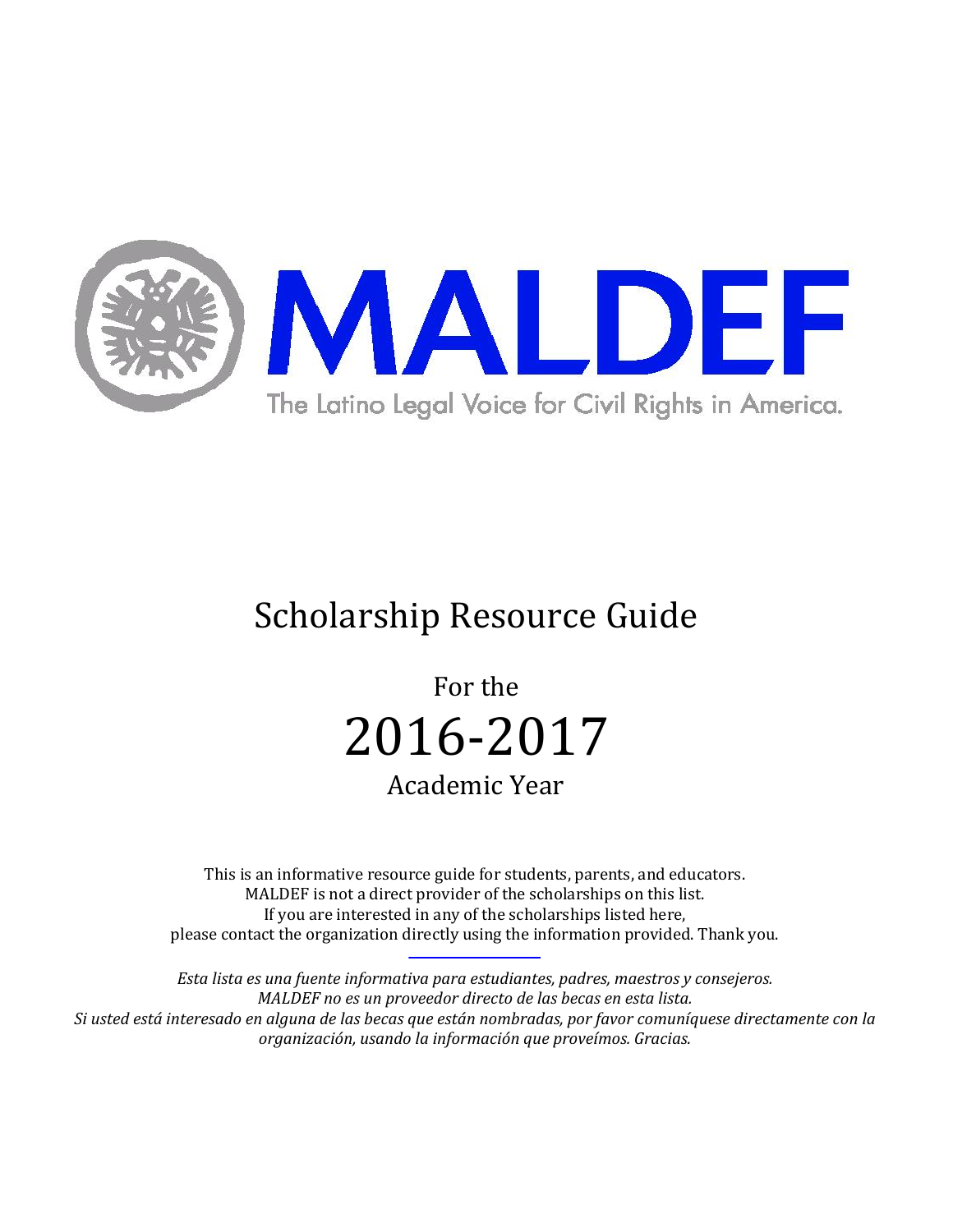

# Scholarship Resource Guide

For the 2016-2017 Academic Year

This is an informative resource guide for students, parents, and educators. MALDEF is not a direct provider of the scholarships on this list. If you are interested in any of the scholarships listed here, please contact the organization directly using the information provided. Thank you.

*Esta lista es una fuente informativa para estudiantes, padres, maestros y consejeros. MALDEF no es un proveedor directo de las becas en esta lista. Si usted está interesado en alguna de las becas que están nombradas, por favor comuníquese directamente con la organización, usando la información que proveímos. Gracias.*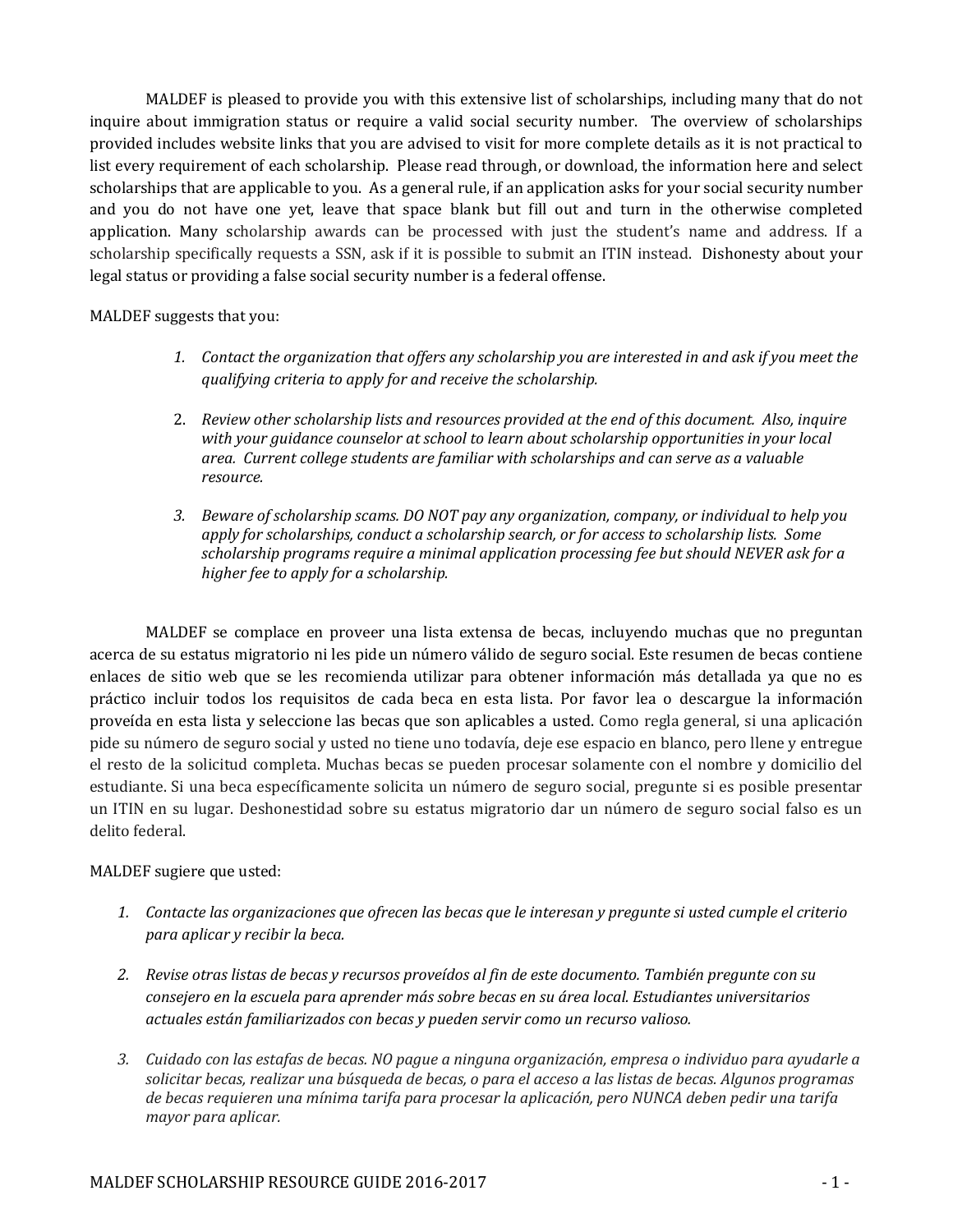MALDEF is pleased to provide you with this extensive list of scholarships, including many that do not inquire about immigration status or require a valid social security number. The overview of scholarships provided includes website links that you are advised to visit for more complete details as it is not practical to list every requirement of each scholarship. Please read through, or download, the information here and select scholarships that are applicable to you. As a general rule, if an application asks for your social security number and you do not have one yet, leave that space blank but fill out and turn in the otherwise completed application. Many scholarship awards can be processed with just the student's name and address. If a scholarship specifically requests a SSN, ask if it is possible to submit an ITIN instead. Dishonesty about your legal status or providing a false social security number is a federal offense.

MALDEF suggests that you:

- *1. Contact the organization that offers any scholarship you are interested in and ask if you meet the qualifying criteria to apply for and receive the scholarship.*
- 2. *Review other scholarship lists and resources provided at the end of this document. Also, inquire with your guidance counselor at school to learn about scholarship opportunities in your local area. Current college students are familiar with scholarships and can serve as a valuable resource.*
- *3. Beware of scholarship scams. DO NOT pay any organization, company, or individual to help you apply for scholarships, conduct a scholarship search, or for access to scholarship lists. Some scholarship programs require a minimal application processing fee but should NEVER ask for a higher fee to apply for a scholarship.*

MALDEF se complace en proveer una lista extensa de becas, incluyendo muchas que no preguntan acerca de su estatus migratorio ni les pide un número válido de seguro social. Este resumen de becas contiene enlaces de sitio web que se les recomienda utilizar para obtener información más detallada ya que no es práctico incluir todos los requisitos de cada beca en esta lista. Por favor lea o descargue la información proveída en esta lista y seleccione las becas que son aplicables a usted. Como regla general, si una aplicación pide su número de seguro social y usted no tiene uno todavía, deje ese espacio en blanco, pero llene y entregue el resto de la solicitud completa. Muchas becas se pueden procesar solamente con el nombre y domicilio del estudiante. Si una beca específicamente solicita un número de seguro social, pregunte si es posible presentar un ITIN en su lugar. Deshonestidad sobre su estatus migratorio dar un número de seguro social falso es un delito federal.

# MALDEF sugiere que usted:

- *1. Contacte las organizaciones que ofrecen las becas que le interesan y pregunte si usted cumple el criterio para aplicar y recibir la beca.*
- *2. Revise otras listas de becas y recursos proveídos al fin de este documento. También pregunte con su consejero en la escuela para aprender más sobre becas en su área local. Estudiantes universitarios actuales están familiarizados con becas y pueden servir como un recurso valioso.*
- *3. Cuidado con las estafas de becas. NO pague a ninguna organización, empresa o individuo para ayudarle a solicitar becas, realizar una búsqueda de becas, o para el acceso a las listas de becas. Algunos programas de becas requieren una mínima tarifa para procesar la aplicación, pero NUNCA deben pedir una tarifa mayor para aplicar.*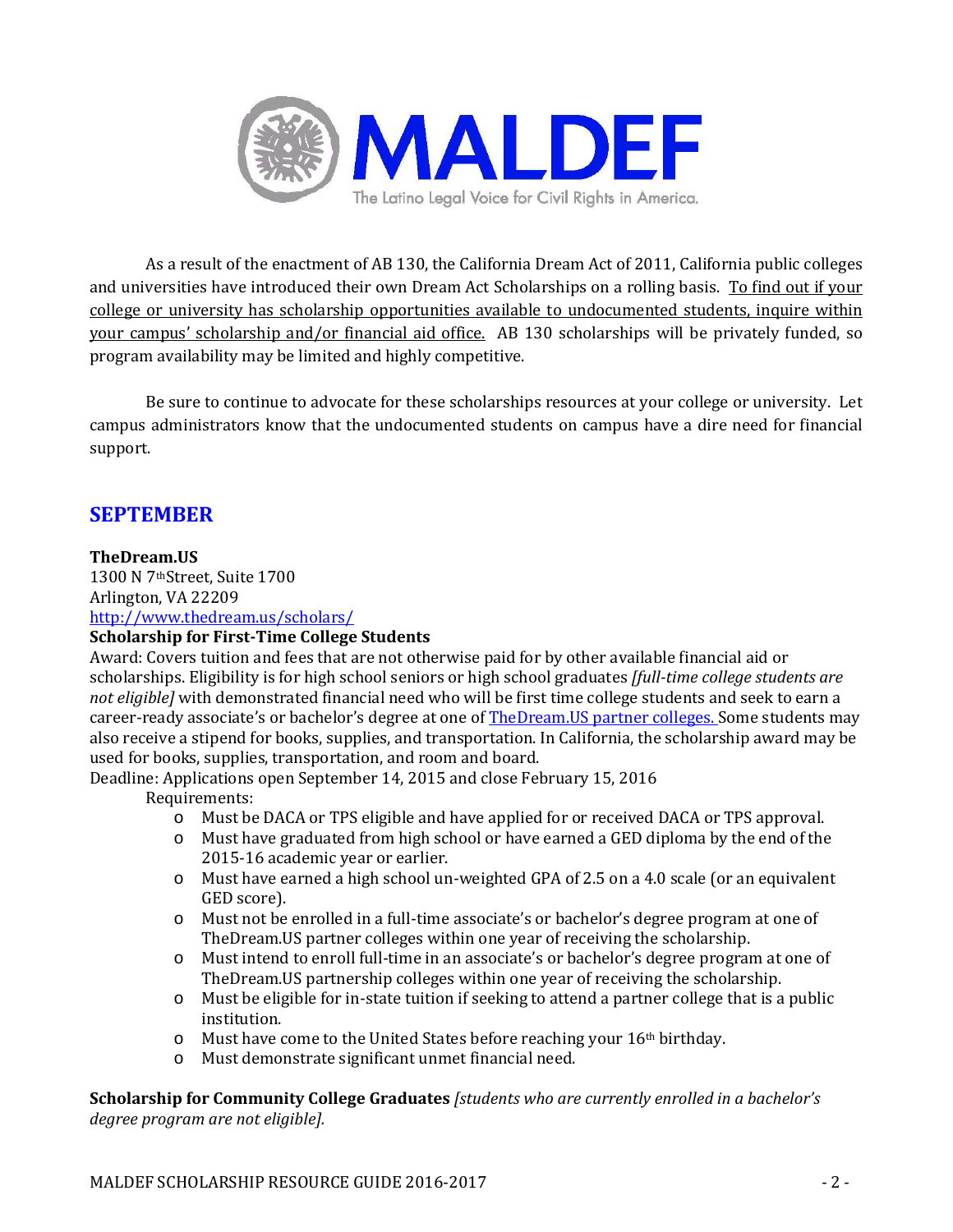

As a result of the enactment of AB 130, the California Dream Act of 2011, California public colleges and universities have introduced their own Dream Act Scholarships on a rolling basis. To find out if your college or university has scholarship opportunities available to undocumented students, inquire within your campus' scholarship and/or financial aid office. AB 130 scholarships will be privately funded, so program availability may be limited and highly competitive.

Be sure to continue to advocate for these scholarships resources at your college or university. Let campus administrators know that the undocumented students on campus have a dire need for financial support.

# **SEPTEMBER**

# **TheDream.US**

1300 N 7thStreet, Suite 1700 Arlington, VA 22209 <http://www.thedream.us/scholars/>

# **Scholarship for First-Time College Students**

Award: Covers tuition and fees that are not otherwise paid for by other available financial aid or scholarships. Eligibility is for high school seniors or high school graduates *[full-time college students are not eligible]* with demonstrated financial need who will be first time college students and seek to earn a career-ready associate's or bachelor's degree at one of [TheDream.US partner colleges.](http://www.thedream.us/colleges/) Some students may also receive a stipend for books, supplies, and transportation. In California, the scholarship award may be used for books, supplies, transportation, and room and board.

Deadline: Applications open September 14, 2015 and close February 15, 2016 Requirements:

- 
- o Must be DACA or TPS eligible and have applied for or received DACA or TPS approval. Must have graduated from high school or have earned a GED diploma by the end of the 2015-16 academic year or earlier.
- o Must have earned a high school un-weighted GPA of 2.5 on a 4.0 scale (or an equivalent GED score).
- o Must not be enrolled in a full-time associate's or bachelor's degree program at one of TheDream.US partner colleges within one year of receiving the scholarship.
- o Must intend to enroll full-time in an associate's or bachelor's degree program at one of TheDream.US partnership colleges within one year of receiving the scholarship.
- o Must be eligible for in-state tuition if seeking to attend a partner college that is a public institution.
- $\circ$  Must have come to the United States before reaching your 16<sup>th</sup> birthday.
- o Must demonstrate significant unmet financial need.

**Scholarship for Community College Graduates** *[students who are currently enrolled in a bachelor's degree program are not eligible].*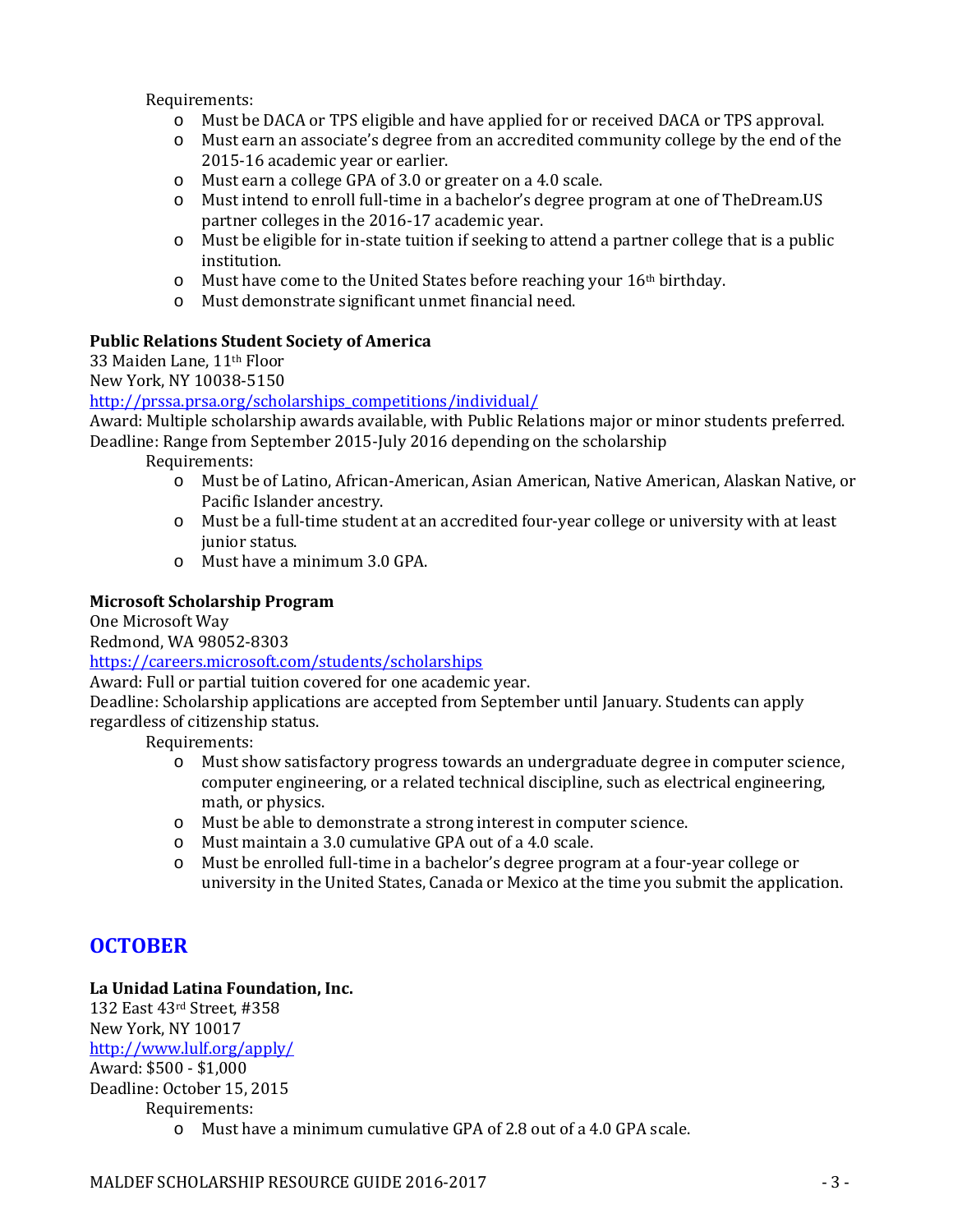Requirements:

- o Must be DACA or TPS eligible and have applied for or received DACA or TPS approval.
- o Must earn an associate's degree from an accredited community college by the end of the 2015-16 academic year or earlier.
- o Must earn a college GPA of 3.0 or greater on a 4.0 scale.
- o Must intend to enroll full-time in a bachelor's degree program at one of TheDream.US partner colleges in the 2016-17 academic year.
- o Must be eligible for in-state tuition if seeking to attend a partner college that is a public institution.
- o Must have come to the United States before reaching your 16th birthday.
- o Must demonstrate significant unmet financial need.

#### **Public Relations Student Society of America**

33 Maiden Lane, 11th Floor

New York, NY 10038-5150

#### [http://prssa.prsa.org/scholarships\\_competitions/individual/](http://prssa.prsa.org/scholarships_competitions/individual/)

Award: Multiple scholarship awards available, with Public Relations major or minor students preferred. Deadline: Range from September 2015-July 2016 depending on the scholarship

Requirements:

- o Must be of Latino, African-American, Asian American, Native American, Alaskan Native, or Pacific Islander ancestry.
- o Must be a full-time student at an accredited four-year college or university with at least junior status.
- o Must have a minimum 3.0 GPA.

#### **Microsoft Scholarship Program**

One Microsoft Way

Redmond, WA 98052-8303

<https://careers.microsoft.com/students/scholarships>

Award: Full or partial tuition covered for one academic year.

Deadline: Scholarship applications are accepted from September until January. Students can apply regardless of citizenship status.

Requirements:

- o Must show satisfactory progress towards an undergraduate degree in computer science, computer engineering, or a related technical discipline, such as electrical engineering, math, or physics.
- o Must be able to demonstrate a strong interest in computer science.
- o Must maintain a 3.0 cumulative GPA out of a 4.0 scale.
- o Must be enrolled full-time in a bachelor's degree program at a four-year college or university in the United States, Canada or Mexico at the time you submit the application.

# **OCTOBER**

# **La Unidad Latina Foundation, Inc.**

132 East 43rd Street, #358 New York, NY 10017 <http://www.lulf.org/apply/> Award: \$500 - \$1,000 Deadline: October 15, 2015 Requirements:

o Must have a minimum cumulative GPA of 2.8 out of a 4.0 GPA scale.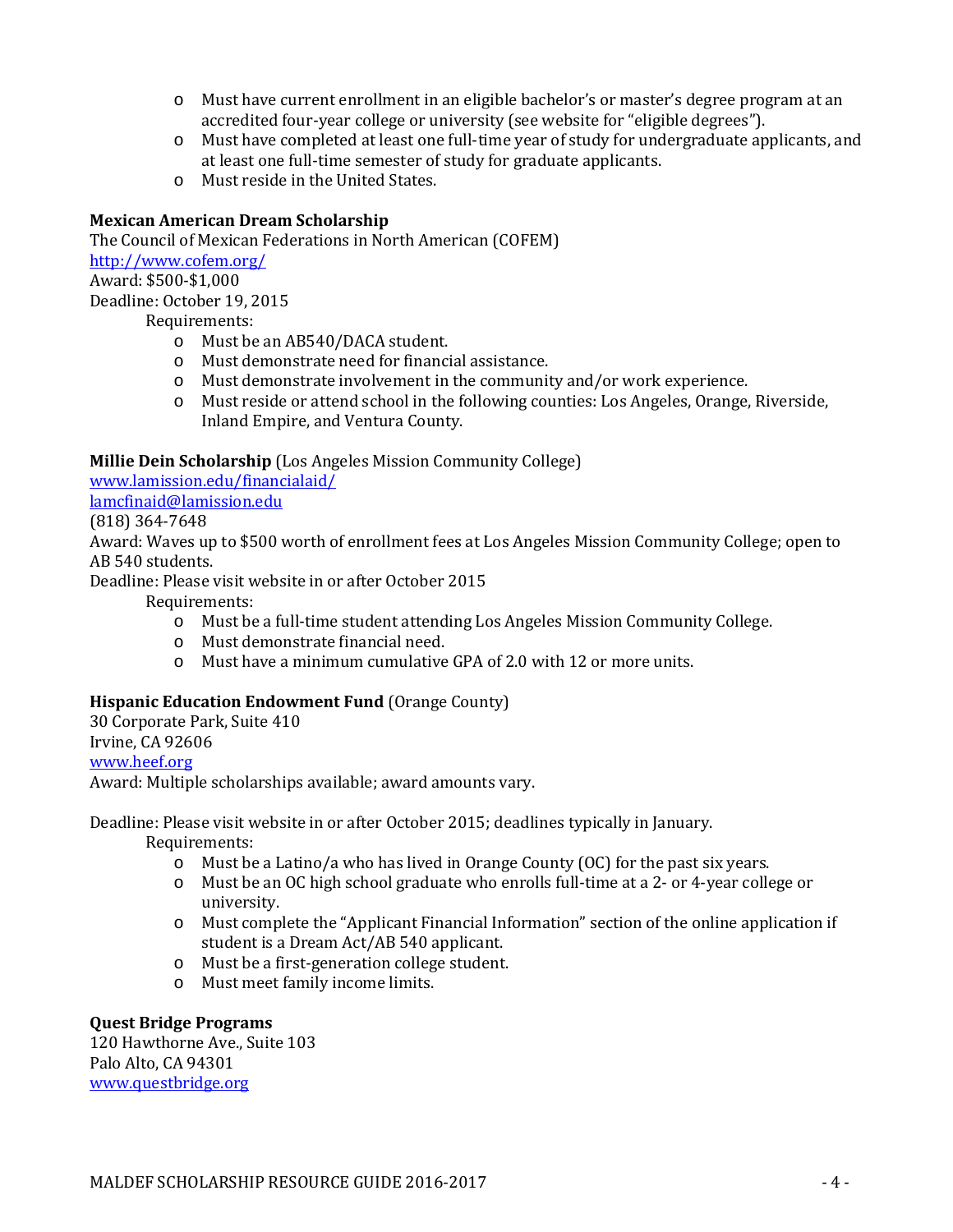- o Must have current enrollment in an eligible bachelor's or master's degree program at an accredited four-year college or university (see website for "eligible degrees").
- o Must have completed at least one full-time year of study for undergraduate applicants, and at least one full-time semester of study for graduate applicants.
- o Must reside in the United States.

# **Mexican American Dream Scholarship**

The Council of Mexican Federations in North American (COFEM) <http://www.cofem.org/> Award: \$500-\$1,000 Deadline: October 19, 2015 Requirements:

- o Must be an AB540/DACA student.
- o Must demonstrate need for financial assistance.
- o Must demonstrate involvement in the community and/or work experience.
- o Must reside or attend school in the following counties: Los Angeles, Orange, Riverside, Inland Empire, and Ventura County.

#### **Millie Dein Scholarship** (Los Angeles Mission Community College)

[www.lamission.edu/financialaid/](http://www.lamission.edu/financialaid/)

[lamcfinaid@lamission.edu](mailto:lamcfinaid@lamission.edu)

(818) 364-7648

Award: Waves up to \$500 worth of enrollment fees at Los Angeles Mission Community College; open to AB 540 students.

Deadline: Please visit website in or after October 2015

Requirements:

- o Must be a full-time student attending Los Angeles Mission Community College.
- o Must demonstrate financial need.
- o Must have a minimum cumulative GPA of 2.0 with 12 or more units.

# **Hispanic Education Endowment Fund** (Orange County)

30 Corporate Park, Suite 410 Irvine, CA 92606 [www.heef.org](http://www.heef.org/)

Award: Multiple scholarships available; award amounts vary.

Deadline: Please visit website in or after October 2015; deadlines typically in January.

Requirements:

- o Must be a Latino/a who has lived in Orange County (OC) for the past six years.
- o Must be an OC high school graduate who enrolls full-time at a 2- or 4-year college or university.
- o Must complete the "Applicant Financial Information" section of the online application if student is a Dream Act/AB 540 applicant.
- o Must be a first-generation college student.
- o Must meet family income limits.

#### **Quest Bridge Programs**

120 Hawthorne Ave., Suite 103 Palo Alto, CA 94301 [www.questbridge.org](http://www.questbridge.org/)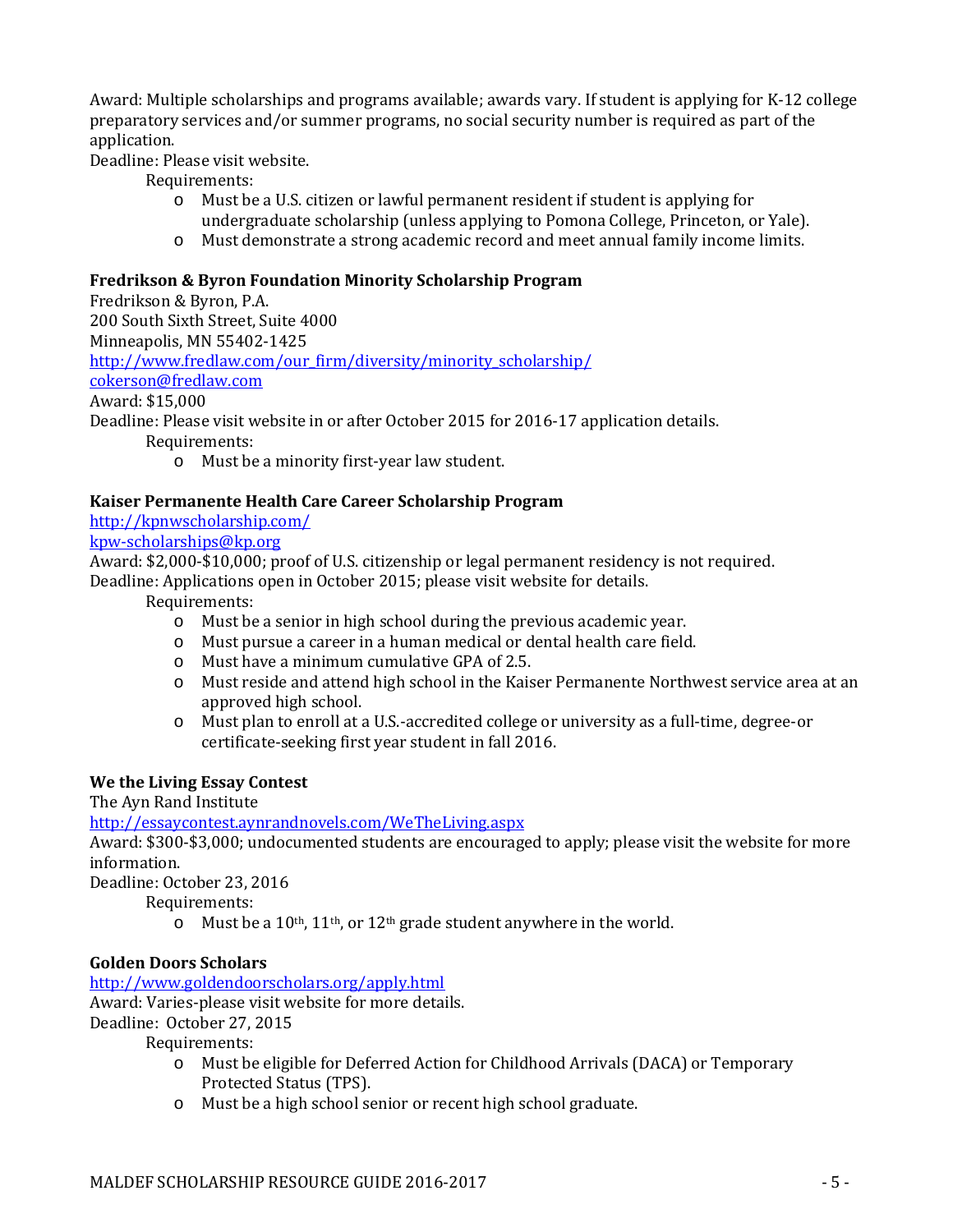Award: Multiple scholarships and programs available; awards vary. If student is applying for K-12 college preparatory services and/or summer programs, no social security number is required as part of the application.

Deadline: Please visit website.

Requirements:

- o Must be a U.S. citizen or lawful permanent resident if student is applying for undergraduate scholarship (unless applying to Pomona College, Princeton, or Yale).
- o Must demonstrate a strong academic record and meet annual family income limits.

#### **Fredrikson & Byron Foundation Minority Scholarship Program**

Fredrikson & Byron, P.A. 200 South Sixth Street, Suite 4000 Minneapolis, MN 55402-1425 [http://www.fredlaw.com/our\\_firm/diversity/minority\\_scholarship/](http://www.fredlaw.com/our_firm/diversity/minority_scholarship/) [cokerson@fredlaw.com](mailto:cokerson@fredlaw.com) Award: \$15,000 Deadline: Please visit website in or after October 2015 for 2016-17 application details. Requirements: o Must be a minority first-year law student.

#### **Kaiser Permanente Health Care Career Scholarship Program**

<http://kpnwscholarship.com/>

# [kpw-scholarships@kp.org](mailto:kpw-scholarships@kp.org)

Award: \$2,000-\$10,000; proof of U.S. citizenship or legal permanent residency is not required. Deadline: Applications open in October 2015; please visit website for details.

Requirements:

- o Must be a senior in high school during the previous academic year.
- o Must pursue a career in a human medical or dental health care field.
- o Must have a minimum cumulative GPA of 2.5.
- o Must reside and attend high school in the Kaiser Permanente Northwest service area at an approved high school.
- o Must plan to enroll at a U.S.-accredited college or university as a full-time, degree-or certificate-seeking first year student in fall 2016.

#### **We the Living Essay Contest**

The Ayn Rand Institute

<http://essaycontest.aynrandnovels.com/WeTheLiving.aspx>

Award: \$300-\$3,000; undocumented students are encouraged to apply; please visit the website for more information.

Deadline: October 23, 2016

Requirements:

o Must be a 10th, 11th, or 12th grade student anywhere in the world.

# **Golden Doors Scholars**

<http://www.goldendoorscholars.org/apply.html>

Award: Varies-please visit website for more details.

Deadline: October 27, 2015

- o Must be eligible for Deferred Action for Childhood Arrivals (DACA) or Temporary Protected Status (TPS).
- o Must be a high school senior or recent high school graduate.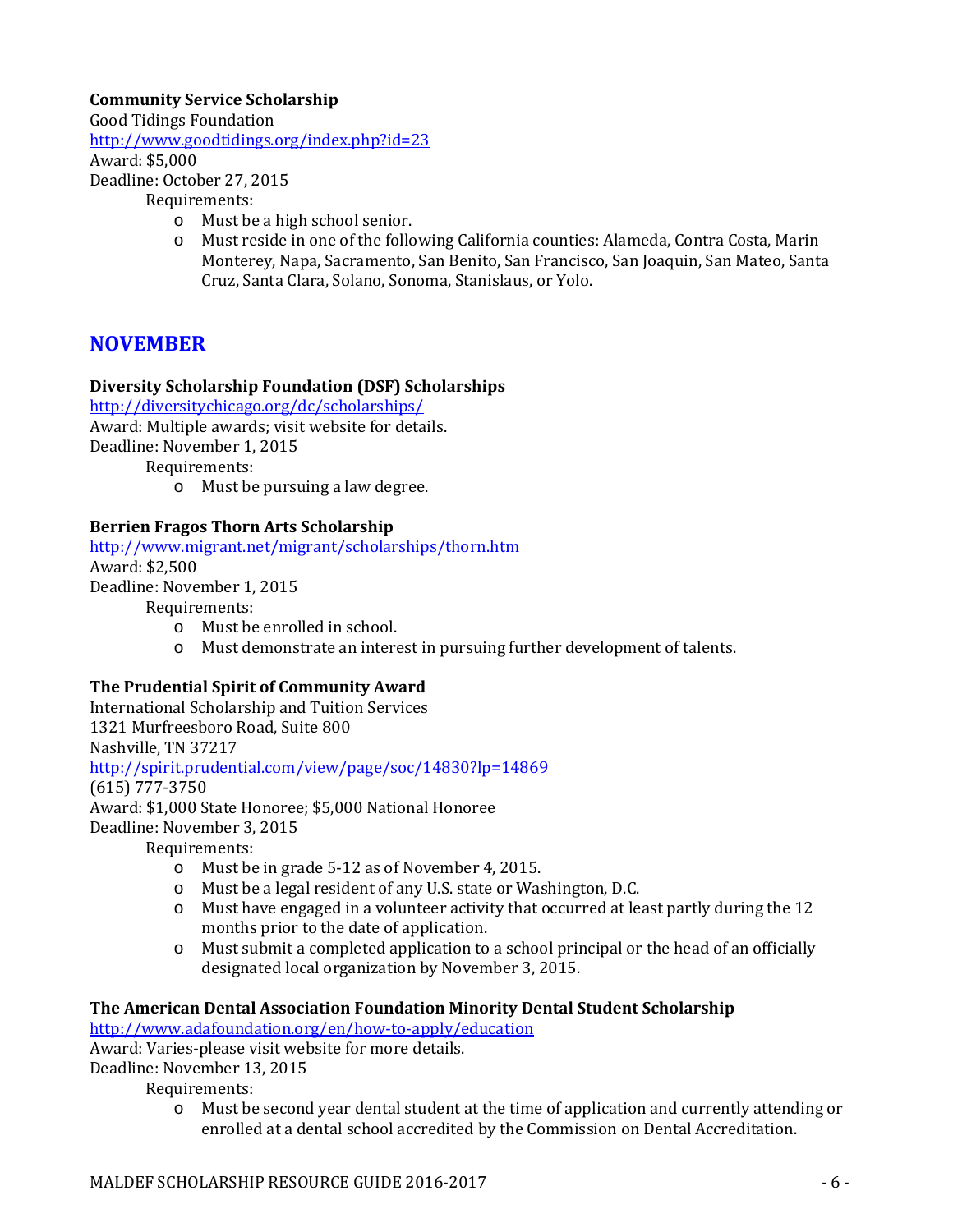# **Community Service Scholarship**

Good Tidings Foundation

<http://www.goodtidings.org/index.php?id=23>

Award: \$5,000

Deadline: October 27, 2015

Requirements:

- o Must be a high school senior.
- o Must reside in one of the following California counties: Alameda, Contra Costa, Marin Monterey, Napa, Sacramento, San Benito, San Francisco, San Joaquin, San Mateo, Santa Cruz, Santa Clara, Solano, Sonoma, Stanislaus, or Yolo.

# **NOVEMBER**

# **Diversity Scholarship Foundation (DSF) Scholarships**

<http://diversitychicago.org/dc/scholarships/>

Award: Multiple awards; visit website for details.

Deadline: November 1, 2015

Requirements:

o Must be pursuing a law degree.

# **Berrien Fragos Thorn Arts Scholarship**

<http://www.migrant.net/migrant/scholarships/thorn.htm> Award: \$2,500 Deadline: November 1, 2015

Requirements:

- o Must be enrolled in school.
- o Must demonstrate an interest in pursuing further development of talents.

# **The Prudential Spirit of Community Award**

International Scholarship and Tuition Services 1321 Murfreesboro Road, Suite 800 Nashville, TN 37217 <http://spirit.prudential.com/view/page/soc/14830?lp=14869> (615) 777-3750 Award: \$1,000 State Honoree; \$5,000 National Honoree Deadline: November 3, 2015 Requirements:

- o Must be in grade 5-12 as of November 4, 2015.
- o Must be a legal resident of any U.S. state or Washington, D.C.
- o Must have engaged in a volunteer activity that occurred at least partly during the 12 months prior to the date of application.
- o Must submit a completed application to a school principal or the head of an officially designated local organization by November 3, 2015.

# **The American Dental Association Foundation Minority Dental Student Scholarship**

<http://www.adafoundation.org/en/how-to-apply/education>

Award: Varies-please visit website for more details.

Deadline: November 13, 2015

Requirements:

o Must be second year dental student at the time of application and currently attending or enrolled at a dental school accredited by the Commission on Dental Accreditation.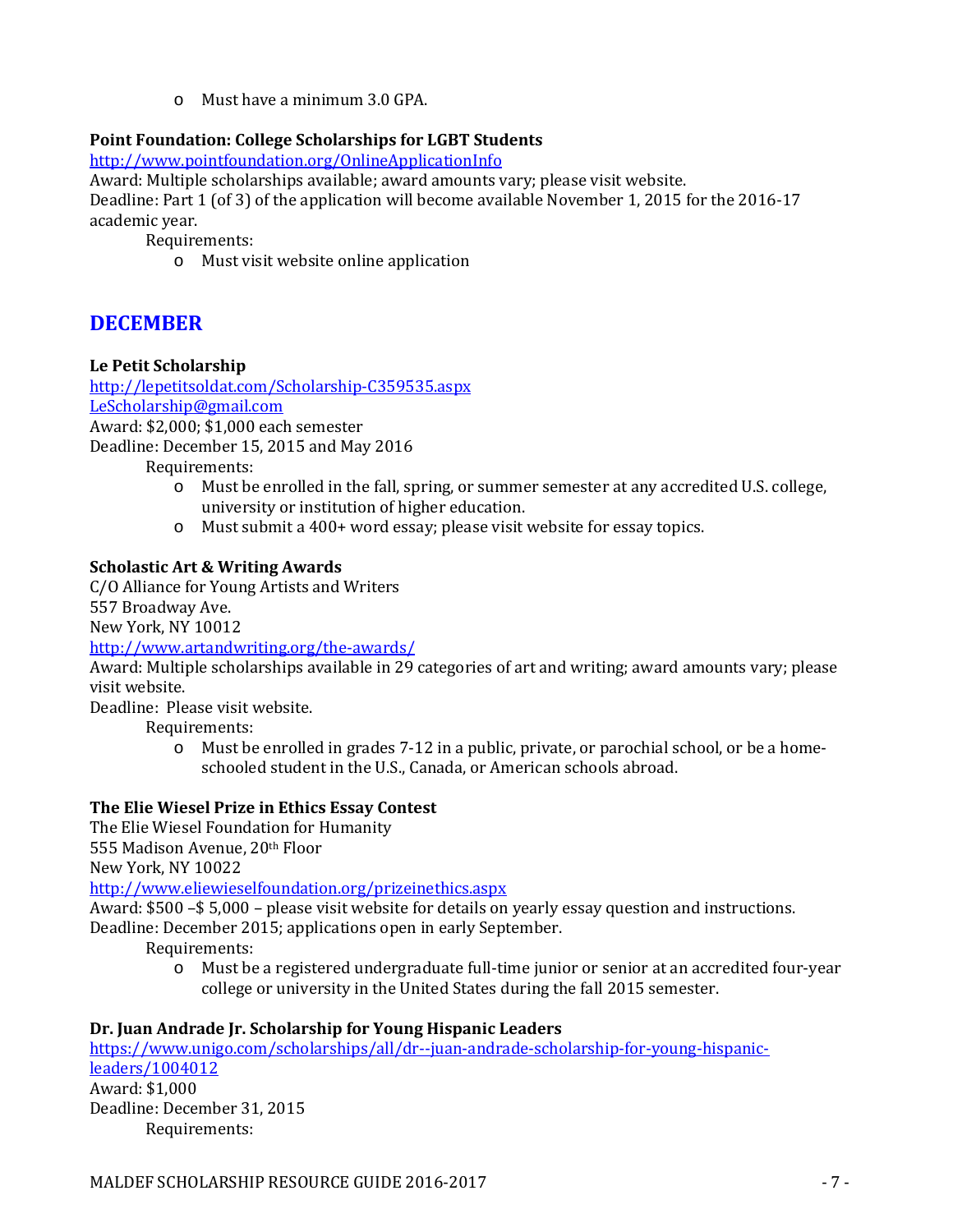o Must have a minimum 3.0 GPA.

# **Point Foundation: College Scholarships for LGBT Students**

<http://www.pointfoundation.org/OnlineApplicationInfo>

Award: Multiple scholarships available; award amounts vary; please visit website. Deadline: Part 1 (of 3) of the application will become available November 1, 2015 for the 2016-17 academic year.

Requirements:

o Must visit website online application

# **DECEMBER**

# **Le Petit Scholarship**

<http://lepetitsoldat.com/Scholarship-C359535.aspx> [LeScholarship@gmail.com](mailto:LeScholarship@gmail.com) Award: \$2,000; \$1,000 each semester Deadline: December 15, 2015 and May 2016 Requirements:

- o Must be enrolled in the fall, spring, or summer semester at any accredited U.S. college, university or institution of higher education.
- o Must submit a 400+ word essay; please visit website for essay topics.

# **Scholastic Art & Writing Awards**

C/O Alliance for Young Artists and Writers 557 Broadway Ave. New York, NY 10012

# <http://www.artandwriting.org/the-awards/>

Award: Multiple scholarships available in 29 categories of art and writing; award amounts vary; please visit website.

Deadline: Please visit website.

Requirements:

o Must be enrolled in grades 7-12 in a public, private, or parochial school, or be a homeschooled student in the U.S., Canada, or American schools abroad.

# **The Elie Wiesel Prize in Ethics Essay Contest**

The Elie Wiesel Foundation for Humanity 555 Madison Avenue, 20th Floor New York, NY 10022

<http://www.eliewieselfoundation.org/prizeinethics.aspx>

Award: \$500 –\$ 5,000 – please visit website for details on yearly essay question and instructions. Deadline: December 2015; applications open in early September.

Requirements:

o Must be a registered undergraduate full-time junior or senior at an accredited four-year college or university in the United States during the fall 2015 semester.

# **Dr. Juan Andrade Jr. Scholarship for Young Hispanic Leaders**

[https://www.unigo.com/scholarships/all/dr--juan-andrade-scholarship-for-young-hispanic](https://www.unigo.com/scholarships/all/dr--juan-andrade-scholarship-for-young-hispanic-leaders/1004012)[leaders/1004012](https://www.unigo.com/scholarships/all/dr--juan-andrade-scholarship-for-young-hispanic-leaders/1004012) Award: \$1,000 Deadline: December 31, 2015 Requirements: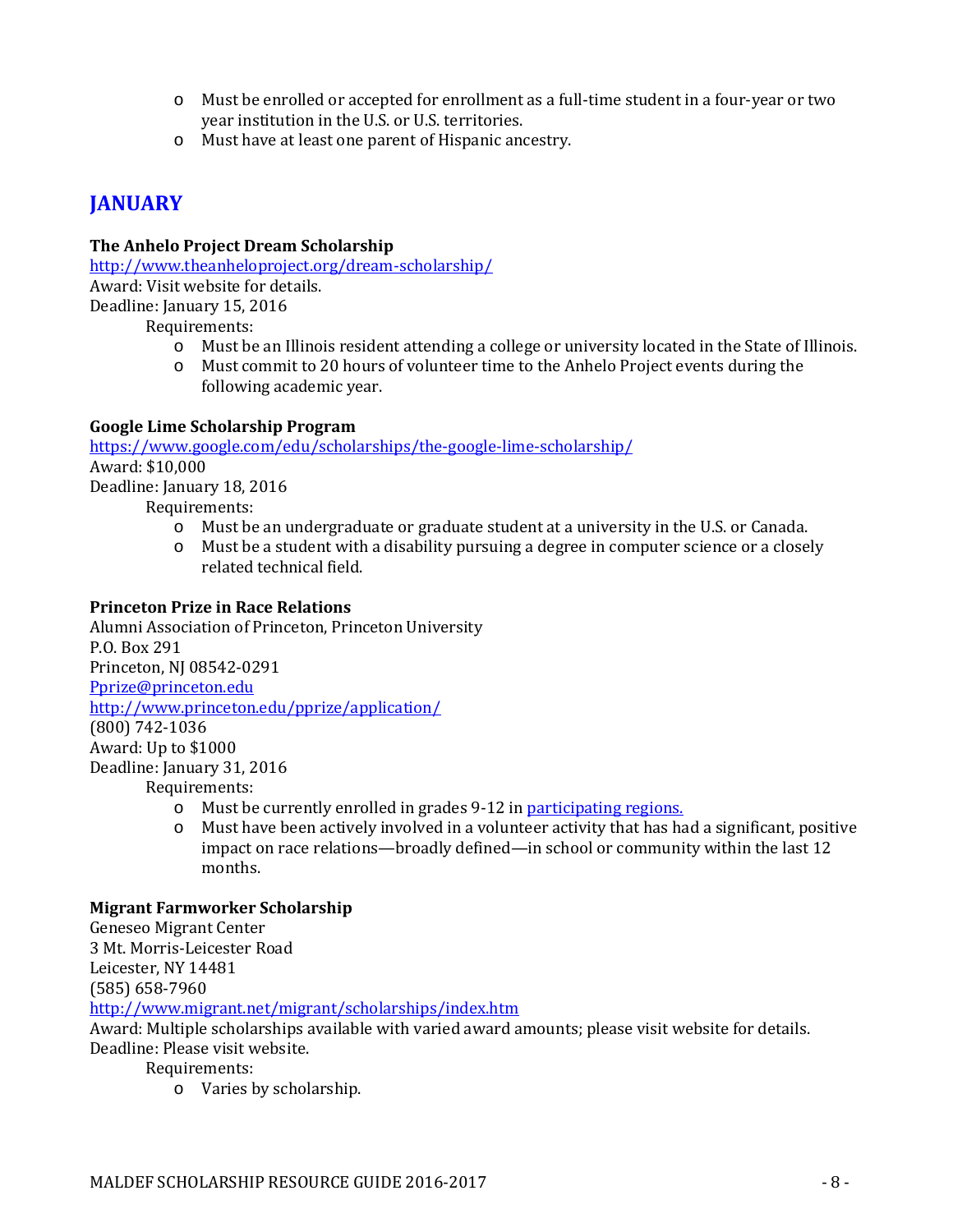- o Must be enrolled or accepted for enrollment as a full-time student in a four-year or two year institution in the U.S. or U.S. territories.
- o Must have at least one parent of Hispanic ancestry.

# **JANUARY**

# **The Anhelo Project Dream Scholarship**

<http://www.theanheloproject.org/dream-scholarship/> Award: Visit website for details. Deadline: January 15, 2016

Requirements:

- o Must be an Illinois resident attending a college or university located in the State of Illinois.
- o Must commit to 20 hours of volunteer time to the Anhelo Project events during the following academic year.

# **Google Lime Scholarship Program**

<https://www.google.com/edu/scholarships/the-google-lime-scholarship/> Award: \$10,000 Deadline: January 18, 2016

Requirements:

- o Must be an undergraduate or graduate student at a university in the U.S. or Canada.
- o Must be a student with a disability pursuing a degree in computer science or a closely related technical field.

# **Princeton Prize in Race Relations**

Alumni Association of Princeton, Princeton University P.O. Box 291 Princeton, NJ 08542-0291 [Pprize@princeton.edu](mailto:Pprize@princeton.edu) <http://www.princeton.edu/pprize/application/> (800) 742-1036 Award: Up to \$1000 Deadline: January 31, 2016 Requirements:

- o Must be currently enrolled in grades 9-12 in **participating regions.**<br>  $\circ$  Must have been actively involved in a volunteer activity that has ha
- Must have been actively involved in a volunteer activity that has had a significant, positive impact on race relations—broadly defined—in school or community within the last 12 months.

# **Migrant Farmworker Scholarship**

Geneseo Migrant Center 3 Mt. Morris-Leicester Road Leicester, NY 14481 (585) 658-7960

<http://www.migrant.net/migrant/scholarships/index.htm>

Award: Multiple scholarships available with varied award amounts; please visit website for details.

Deadline: Please visit website.

Requirements:

o Varies by scholarship.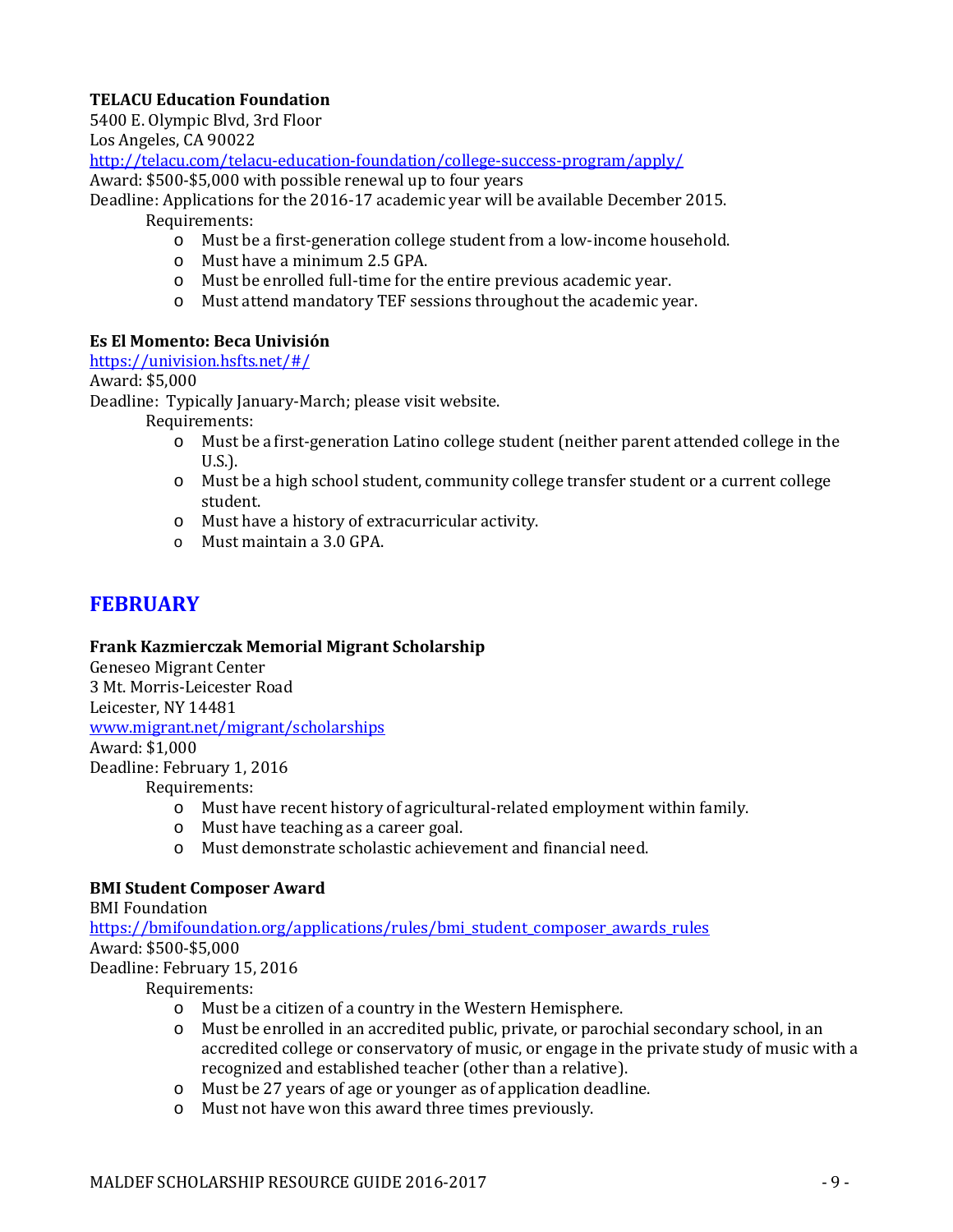# **TELACU Education Foundation**

5400 E. Olympic Blvd, 3rd Floor

Los Angeles, CA 90022

<http://telacu.com/telacu-education-foundation/college-success-program/apply/>

Award: \$500-\$5,000 with possible renewal up to four years

Deadline: Applications for the 2016-17 academic year will be available December 2015. Requirements:

o Must be a first-generation college student from a low-income household.

- o Must have a minimum 2.5 GPA.
- o Must be enrolled full-time for the entire previous academic year.
- o Must attend mandatory TEF sessions throughout the academic year.

#### **Es El Momento: Beca Univisión**

<https://univision.hsfts.net/#/>

Award: \$5,000

Deadline: Typically January-March; please visit website.

Requirements:

- o Must be a first-generation Latino college student (neither parent attended college in the U.S.).
- o Must be a high school student, community college transfer student or a current college student.
- o Must have a history of extracurricular activity.
- o Must maintain a 3.0 GPA.

# **FEBRUARY**

#### **Frank Kazmierczak Memorial Migrant Scholarship**

Geneseo Migrant Center 3 Mt. Morris-Leicester Road Leicester, NY 14481 [www.migrant.net/migrant/scholarships](http://www.migrant.net/migrant/scholarships)

Award: \$1,000 Deadline: February 1, 2016

Requirements:

- o Must have recent history of agricultural-related employment within family.
- o Must have teaching as a career goal.
- o Must demonstrate scholastic achievement and financial need.

# **BMI Student Composer Award**

BMI Foundation https://bmifoundation.org/applications/rules/bmi\_student\_composer\_awards\_rules Award: \$500-\$5,000 Deadline: February 15, 2016

- o Must be a citizen of a country in the Western Hemisphere.
- o Must be enrolled in an accredited public, private, or parochial secondary school, in an accredited college or conservatory of music, or engage in the private study of music with a recognized and established teacher (other than a relative).
- o Must be 27 years of age or younger as of application deadline.
- o Must not have won this award three times previously.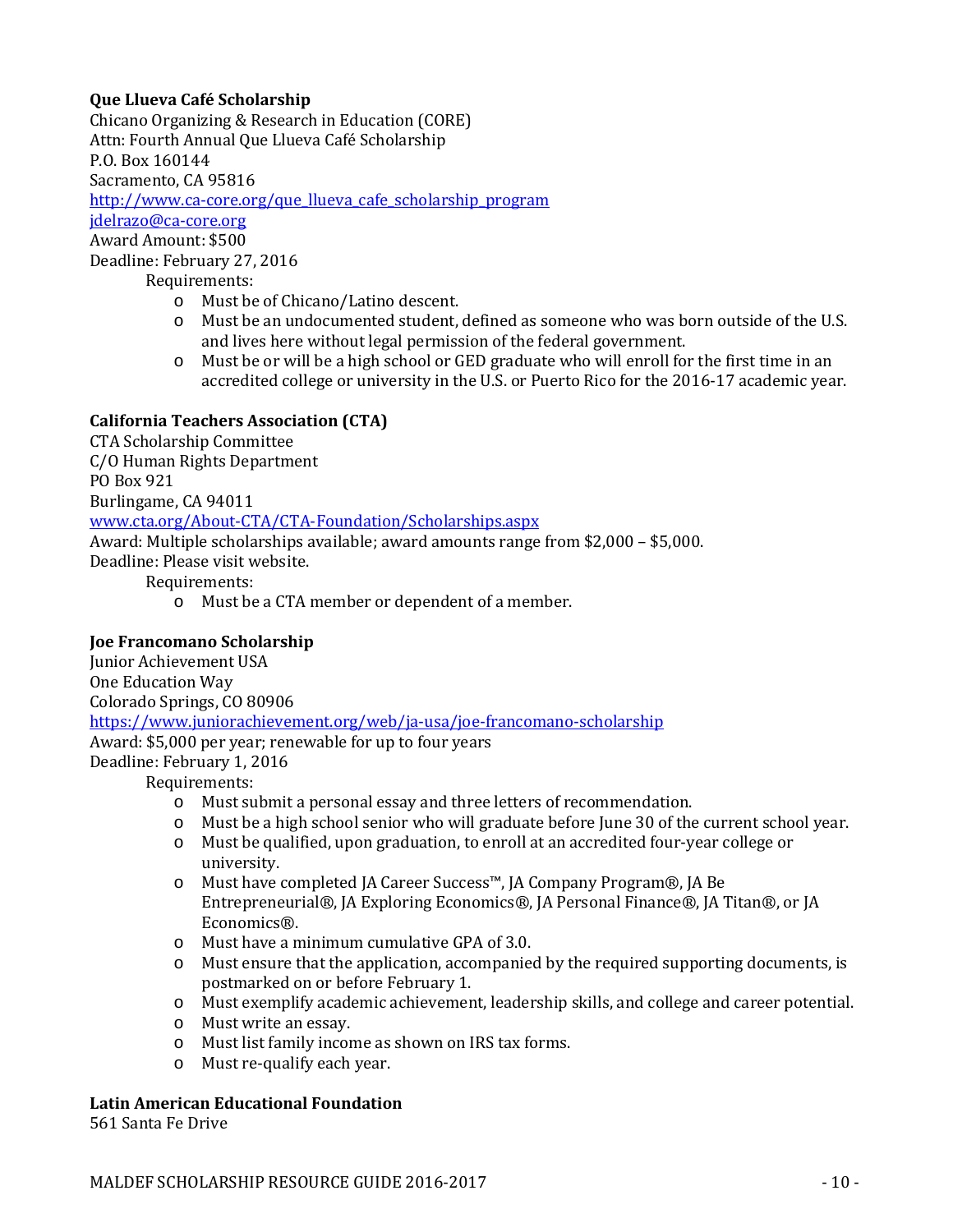# **Que Llueva Café Scholarship**

Chicano Organizing & Research in Education (CORE) Attn: Fourth Annual Que Llueva Café Scholarship P.O. Box 160144 Sacramento, CA 95816 [http://www.ca-core.org/que\\_llueva\\_cafe\\_scholarship\\_program](http://www.ca-core.org/que_llueva_cafe_scholarship_program) [jdelrazo@ca-core.org](mailto:jdelrazo@ca-core.org) Award Amount: \$500 Deadline: February 27, 2016

Requirements:

- o Must be of Chicano/Latino descent.
- o Must be an undocumented student, defined as someone who was born outside of the U.S. and lives here without legal permission of the federal government.
- o Must be or will be a high school or GED graduate who will enroll for the first time in an accredited college or university in the U.S. or Puerto Rico for the 2016-17 academic year.

# **California Teachers Association (CTA)**

CTA Scholarship Committee C/O Human Rights Department PO Box 921 Burlingame, CA 94011 [www.cta.org/About-CTA/CTA-Foundation/Scholarships.aspx](http://www.cta.org/About-CTA/CTA-Foundation/Scholarships.aspx) Award: Multiple scholarships available; award amounts range from \$2,000 – \$5,000. Deadline: Please visit website. Requirements: o Must be a CTA member or dependent of a member.

# **Joe Francomano Scholarship**

Junior Achievement USA One Education Way Colorado Springs, CO 80906 <https://www.juniorachievement.org/web/ja-usa/joe-francomano-scholarship> Award: \$5,000 per year; renewable for up to four years Deadline: February 1, 2016

Requirements:

- o Must submit a personal essay and three letters of recommendation.
- o Must be a high school senior who will graduate before June 30 of the current school year.
- o Must be qualified, upon graduation, to enroll at an accredited four-year college or university.
- o Must have completed JA Career Success™, JA Company Program®, JA Be Entrepreneurial®, JA Exploring Economics®, JA Personal Finance®, JA Titan®, or JA Economics®.
- o Must have a minimum cumulative GPA of 3.0.
- o Must ensure that the application, accompanied by the required supporting documents, is postmarked on or before February 1.
- o Must exemplify academic achievement, leadership skills, and college and career potential.
- o Must write an essay.
- o Must list family income as shown on IRS tax forms.
- o Must re-qualify each year.

# **Latin American Educational Foundation**

561 Santa Fe Drive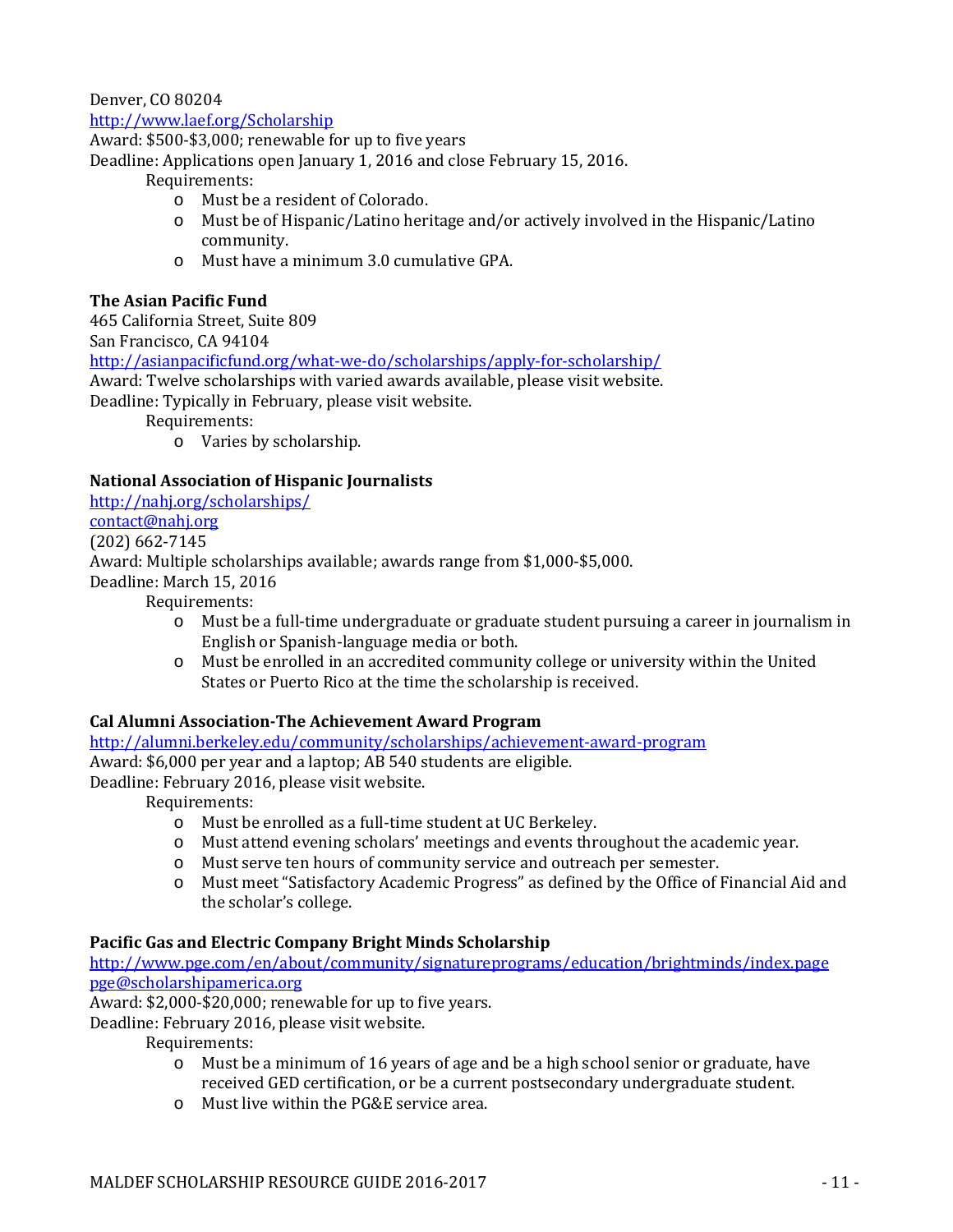Denver, CO 80204

#### <http://www.laef.org/Scholarship>

Award: \$500-\$3,000; renewable for up to five years

Deadline: Applications open January 1, 2016 and close February 15, 2016.

Requirements:

- o Must be a resident of Colorado.
- o Must be of Hispanic/Latino heritage and/or actively involved in the Hispanic/Latino community.
- o Must have a minimum 3.0 cumulative GPA.

### **The Asian Pacific Fund**

465 California Street, Suite 809 San Francisco, CA 94104 <http://asianpacificfund.org/what-we-do/scholarships/apply-for-scholarship/> Award: Twelve scholarships with varied awards available, please visit website. Deadline: Typically in February, please visit website. Requirements:

o Varies by scholarship.

#### **National Association of Hispanic Journalists**

<http://nahj.org/scholarships/> [contact@nahj.org](mailto:contact@nahj.org?subject=From%20the%20NAHJ%20Applications%20pages&body=) (202) 662-7145 Award: Multiple scholarships available; awards range from \$1,000-\$5,000. Deadline: March 15, 2016

Requirements:

- o Must be a full-time undergraduate or graduate student pursuing a career in journalism in English or Spanish-language media or both.
- o Must be enrolled in an accredited community college or university within the United States or Puerto Rico at the time the scholarship is received.

#### **Cal Alumni Association-The Achievement Award Program**

<http://alumni.berkeley.edu/community/scholarships/achievement-award-program> Award: \$6,000 per year and a laptop; AB 540 students are eligible. Deadline: February 2016, please visit website.

Requirements:

- o Must be enrolled as a full-time student at UC Berkeley.
- o Must attend evening scholars' meetings and events throughout the academic year.
- o Must serve ten hours of community service and outreach per semester.
- o Must meet "Satisfactory Academic Progress" as defined by the Office of Financial Aid and the scholar's college.

#### **Pacific Gas and Electric Company Bright Minds Scholarship**

<http://www.pge.com/en/about/community/signatureprograms/education/brightminds/index.page> [pge@scholarshipamerica.org](mailto:pge@scholarshipamerica.org)

Award: \$2,000-\$20,000; renewable for up to five years.

Deadline: February 2016, please visit website.

- o Must be a minimum of 16 years of age and be a high school senior or graduate, have received GED certification, or be a current postsecondary undergraduate student.
- o Must live within the PG&E service area.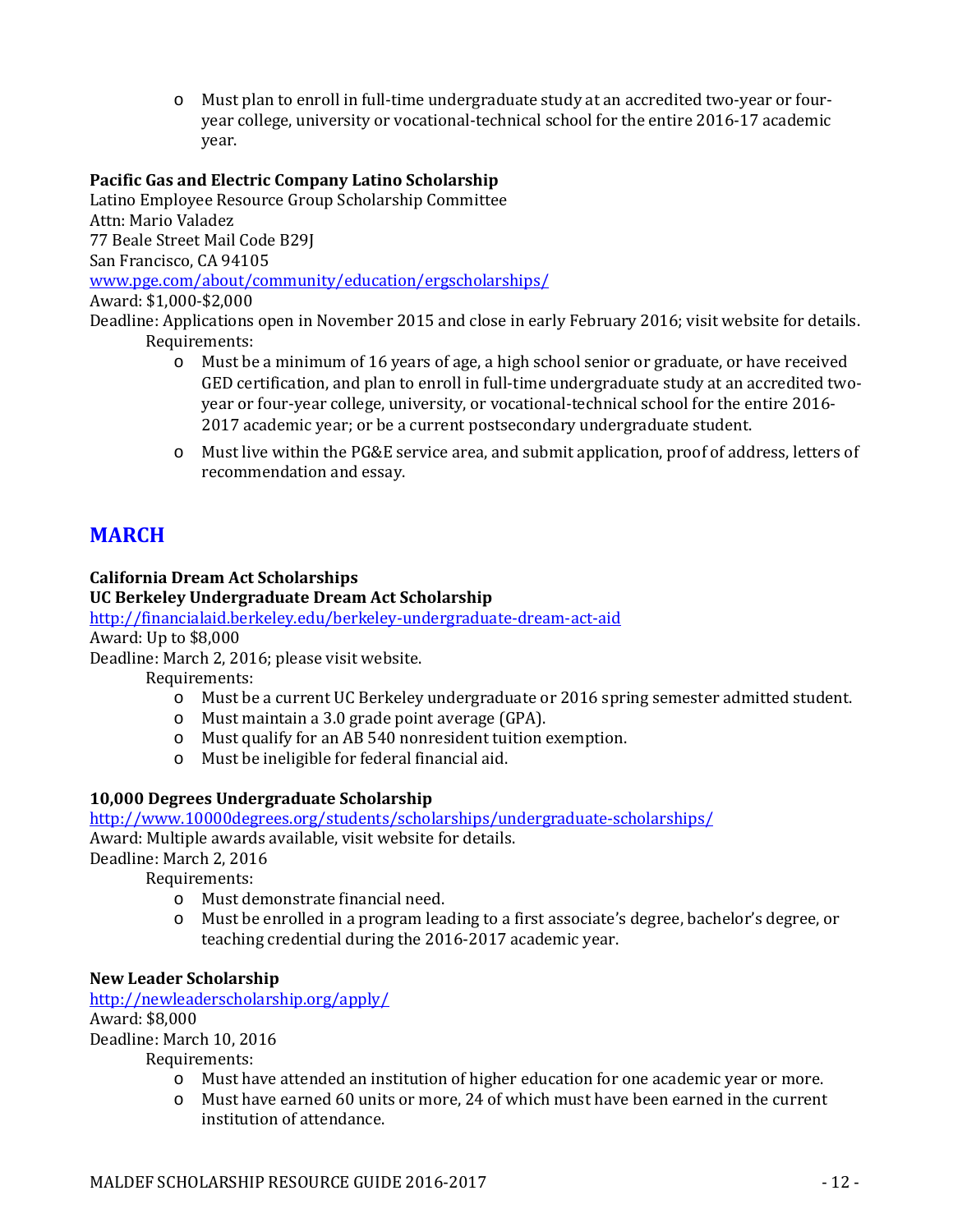o Must plan to enroll in full-time undergraduate study at an accredited two-year or fouryear college, university or vocational-technical school for the entire 2016-17 academic year.

# **Pacific Gas and Electric Company Latino Scholarship**

Latino Employee Resource Group Scholarship Committee Attn: Mario Valadez 77 Beale Street Mail Code B29J San Francisco, CA 94105 [www.pge.com/about/community/education/ergscholarships/](http://www.pge.com/about/community/education/ergscholarships/) Award: \$1,000-\$2,000

Deadline: Applications open in November 2015 and close in early February 2016; visit website for details. Requirements:

- o Must be a minimum of 16 years of age, a high school senior or graduate, or have received GED certification, and plan to enroll in full-time undergraduate study at an accredited twoyear or four-year college, university, or vocational-technical school for the entire 2016- 2017 academic year; or be a current postsecondary undergraduate student.
- o Must live within the PG&E service area, and submit application, proof of address, letters of recommendation and essay.

# **MARCH**

# **California Dream Act Scholarships**

#### **UC Berkeley Undergraduate Dream Act Scholarship**

<http://financialaid.berkeley.edu/berkeley-undergraduate-dream-act-aid>

Award: Up to \$8,000

Deadline: March 2, 2016; please visit website.

Requirements:

- o Must be a current UC Berkeley undergraduate or 2016 spring semester admitted student.
- o Must maintain a 3.0 grade point average (GPA).
- o Must qualify for an AB 540 nonresident tuition exemption.
- o Must be ineligible for federal financial aid.

# **10,000 Degrees Undergraduate Scholarship**

<http://www.10000degrees.org/students/scholarships/undergraduate-scholarships/>

Award: Multiple awards available, visit website for details.

Deadline: March 2, 2016

Requirements:

- o Must demonstrate financial need.
- o Must be enrolled in a program leading to a first associate's degree, bachelor's degree, or teaching credential during the 2016-2017 academic year.

#### **New Leader Scholarship**

<http://newleaderscholarship.org/apply/> Award: \$8,000 Deadline: March 10, 2016

- o Must have attended an institution of higher education for one academic year or more.
- o Must have earned 60 units or more, 24 of which must have been earned in the current institution of attendance.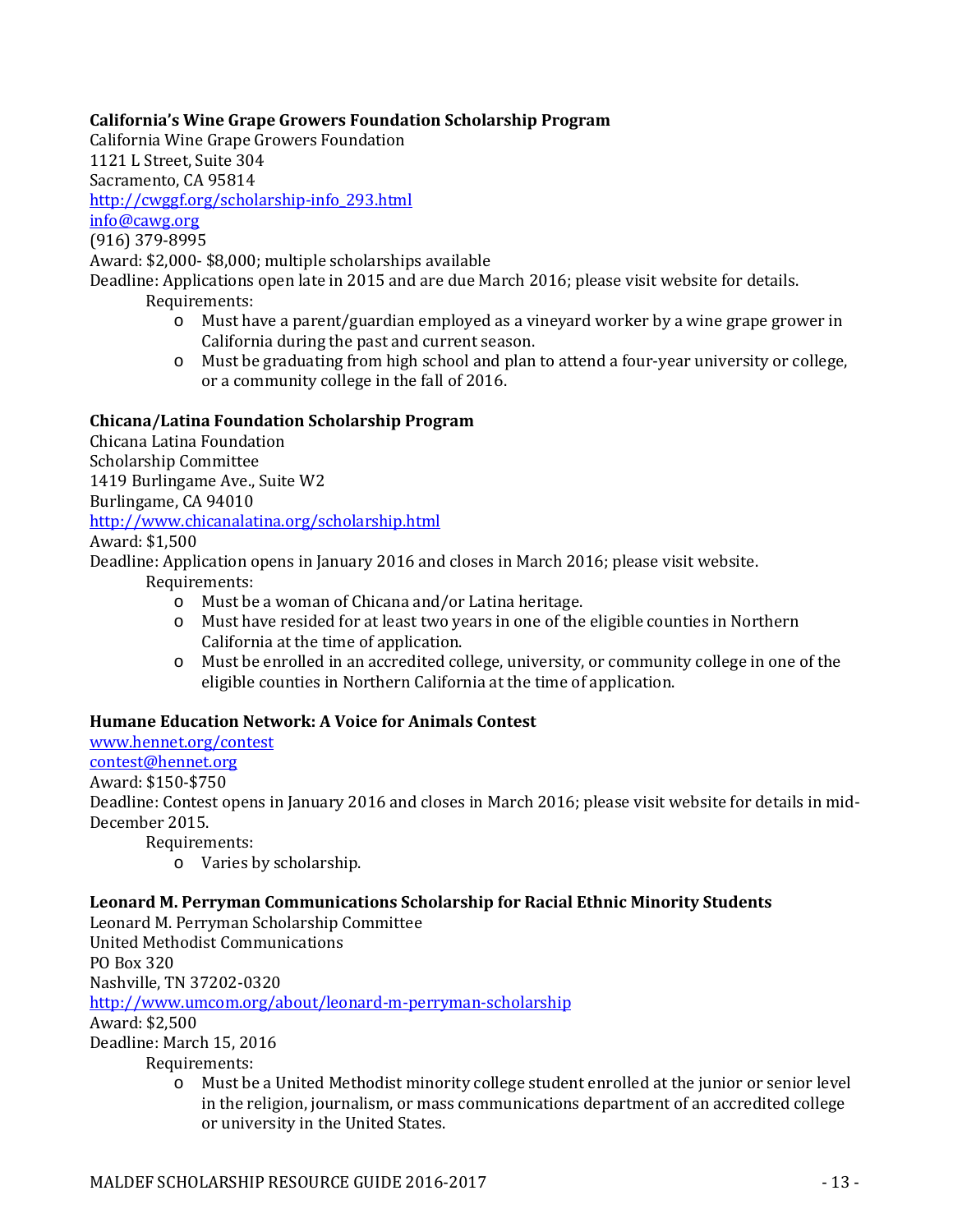# **California's Wine Grape Growers Foundation Scholarship Program**

California Wine Grape Growers Foundation

1121 L Street, Suite 304

Sacramento, CA 95814

[http://cwggf.org/scholarship-info\\_293.html](http://cwggf.org/scholarship-info_293.html)

[info@cawg.org](mailto:info@cawg.org)

(916) 379-8995

Award: \$2,000- \$8,000; multiple scholarships available

Deadline: Applications open late in 2015 and are due March 2016; please visit website for details.

Requirements:

- o Must have a parent/guardian employed as a vineyard worker by a wine grape grower in California during the past and current season.
- o Must be graduating from high school and plan to attend a four-year university or college, or a community college in the fall of 2016.

# **Chicana/Latina Foundation Scholarship Program**

Chicana Latina Foundation Scholarship Committee 1419 Burlingame Ave., Suite W2 Burlingame, CA 94010 <http://www.chicanalatina.org/scholarship.html>

Award: \$1,500

Deadline: Application opens in January 2016 and closes in March 2016; please visit website. Requirements:

- o Must be a woman of Chicana and/or Latina heritage.
- o Must have resided for at least two years in one of the eligible counties in Northern California at the time of application.
- o Must be enrolled in an accredited college, university, or community college in one of the eligible counties in Northern California at the time of application.

# **Humane Education Network: A Voice for Animals Contest**

[www.hennet.org/contest](http://www.hennet.org/contest) [contest@hennet.org](mailto:contest@hennet.org)

Award: \$150-\$750

Deadline: Contest opens in January 2016 and closes in March 2016; please visit website for details in mid-December 2015.

Requirements:

o Varies by scholarship.

# **Leonard M. Perryman Communications Scholarship for Racial Ethnic Minority Students**

Leonard M. Perryman Scholarship Committee

United Methodist Communications

PO Box 320

Nashville, TN 37202-0320

<http://www.umcom.org/about/leonard-m-perryman-scholarship>

Award: \$2,500

Deadline: March 15, 2016

Requirements:<br>
o Must be

Must be a United Methodist minority college student enrolled at the junior or senior level in the religion, journalism, or mass communications department of an accredited college or university in the United States.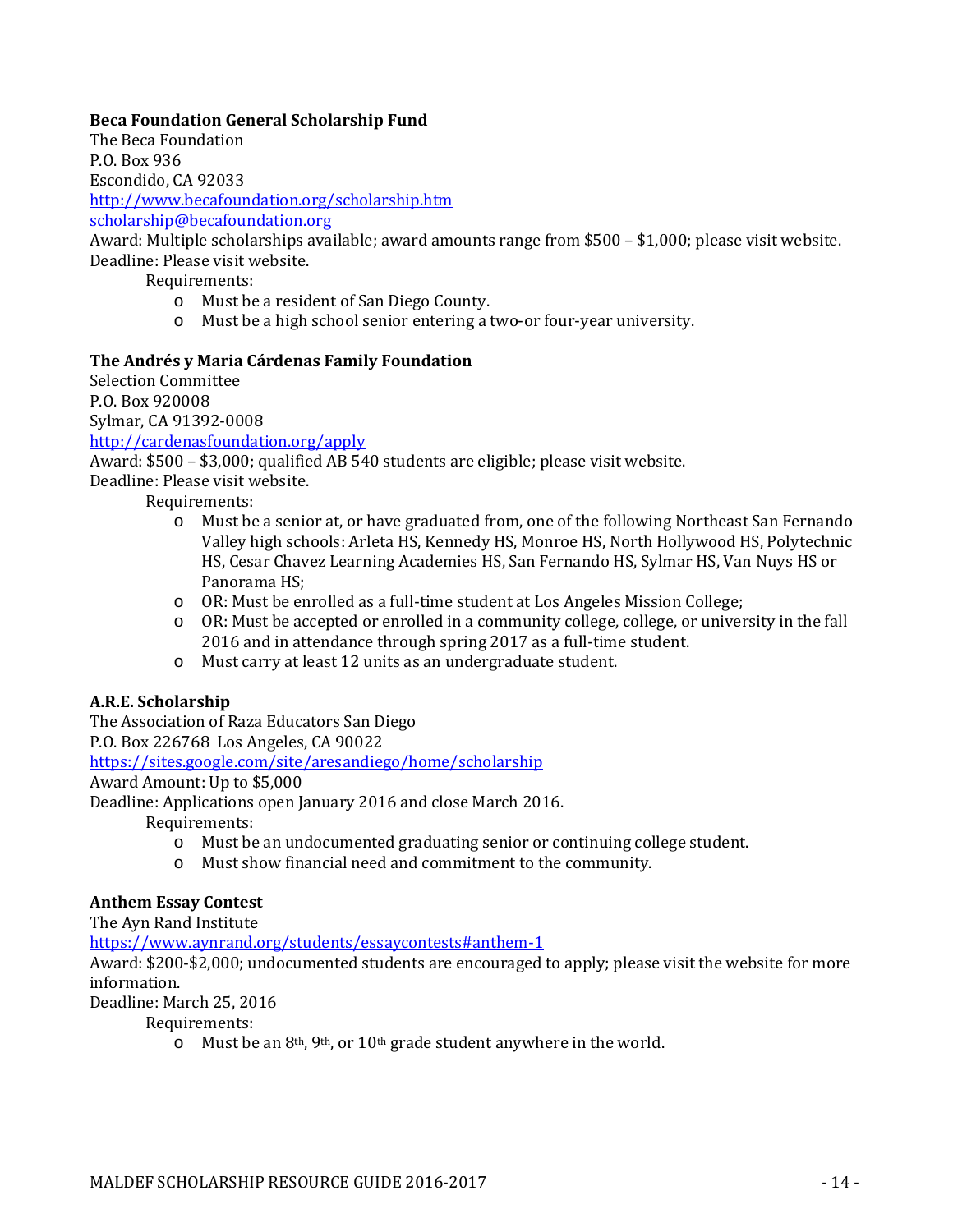# **Beca Foundation General Scholarship Fund**

The Beca Foundation P.O. Box 936 Escondido, CA 92033

<http://www.becafoundation.org/scholarship.htm>

[scholarship@becafoundation.org](mailto:scholarship@becafoundation.org)

Award: Multiple scholarships available; award amounts range from \$500 – \$1,000; please visit website. Deadline: Please visit website.

Requirements:

- o Must be a resident of San Diego County.
- o Must be a high school senior entering a two-or four-year university.

#### **The Andrés y Maria Cárdenas Family Foundation**

Selection Committee P.O. Box 920008 Sylmar, CA 91392-0008

<http://cardenasfoundation.org/apply>

Award: \$500 – \$3,000; qualified AB 540 students are eligible; please visit website.

Deadline: Please visit website.

Requirements:

- o Must be a senior at, or have graduated from, one of the following Northeast San Fernando Valley high schools: Arleta HS, Kennedy HS, Monroe HS, North Hollywood HS, Polytechnic HS, Cesar Chavez Learning Academies HS, San Fernando HS, Sylmar HS, Van Nuys HS or Panorama HS;
- o OR: Must be enrolled as a full-time student at Los Angeles Mission College;
- o OR: Must be accepted or enrolled in a community college, college, or university in the fall 2016 and in attendance through spring 2017 as a full-time student.
- o Must carry at least 12 units as an undergraduate student.

# **A.R.E. Scholarship**

The Association of Raza Educators San Diego

P.O. Box 226768 Los Angeles, CA 90022

<https://sites.google.com/site/aresandiego/home/scholarship>

Award Amount: Up to \$5,000

Deadline: Applications open January 2016 and close March 2016.

Requirements:

- o Must be an undocumented graduating senior or continuing college student.
- o Must show financial need and commitment to the community.

# **Anthem Essay Contest**

The Ayn Rand Institute

<https://www.aynrand.org/students/essaycontests#anthem-1>

Award: \$200-\$2,000; undocumented students are encouraged to apply; please visit the website for more information.

Deadline: March 25, 2016

Requirements:

 $\circ$  Must be an 8<sup>th</sup>, 9<sup>th</sup>, or 10<sup>th</sup> grade student anywhere in the world.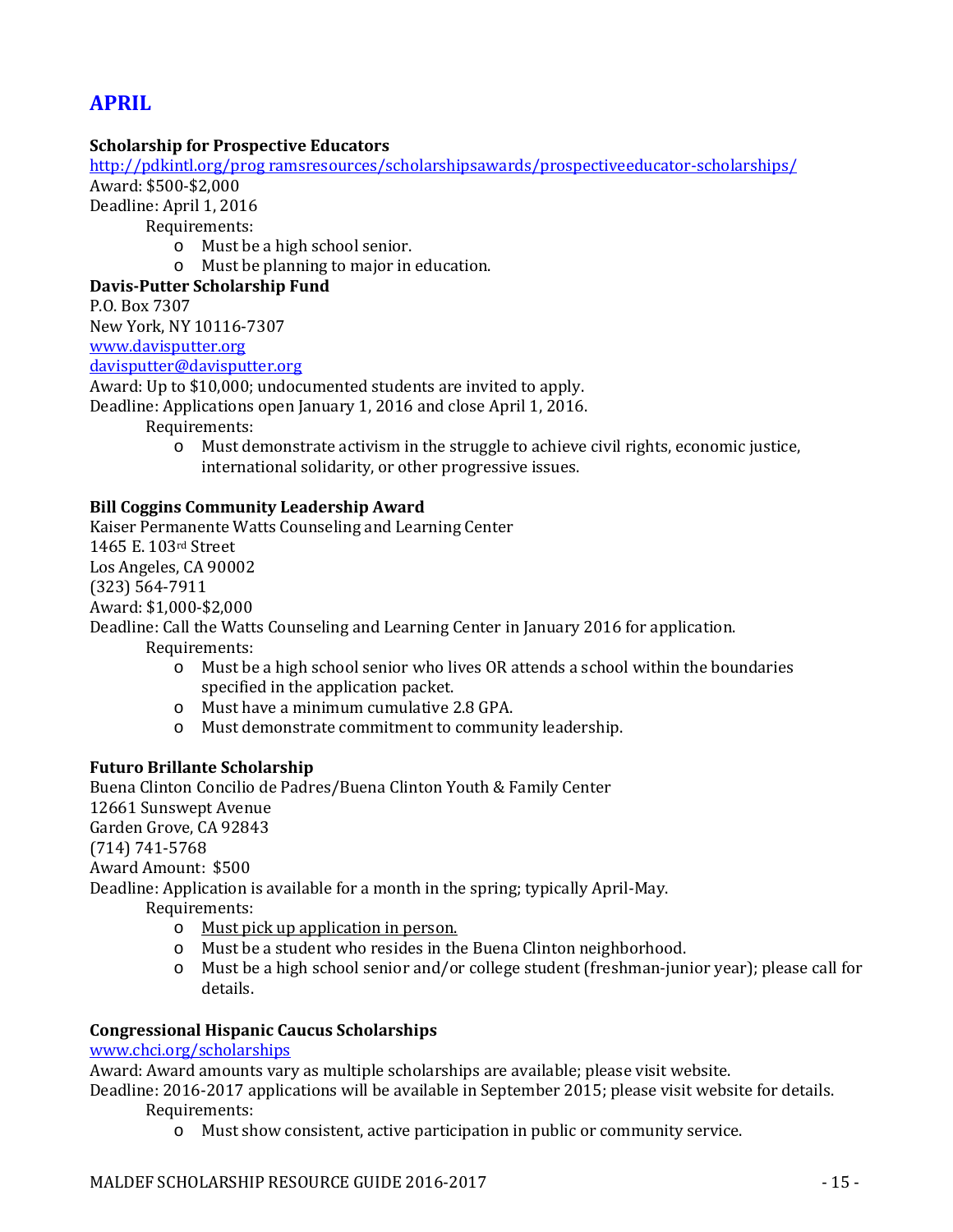# **APRIL**

### **Scholarship for Prospective Educators**

[http://pdkintl.org/prog ramsresources/scholarshipsawards/prospectiveeducator-scholarships/](http://pdkintl.org/prog%20ramsresources/scholarshipsawards/prospectiveeducator-scholarships/) Award: \$500-\$2,000

Deadline: April 1, 2016

Requirements:

- o Must be a high school senior.
- o Must be planning to major in education.

#### **Davis-Putter Scholarship Fund**

P.O. Box 7307

New York, NY 10116-7307

[www.davisputter.org](http://www.davisputter.org/)

[davisputter@davisputter.org](mailto:davisputter@davisputter.org)

Award: Up to \$10,000; undocumented students are invited to apply.

Deadline: Applications open January 1, 2016 and close April 1, 2016.

Requirements:

o Must demonstrate activism in the struggle to achieve civil rights, economic justice, international solidarity, or other progressive issues.

#### **Bill Coggins Community Leadership Award**

Kaiser Permanente Watts Counseling and Learning Center 1465 E. 103rd Street Los Angeles, CA 90002 (323) 564-7911 Award: \$1,000-\$2,000 Deadline: Call the Watts Counseling and Learning Center in January 2016 for application.

Requirements:

- o Must be a high school senior who lives OR attends a school within the boundaries specified in the application packet.
- o Must have a minimum cumulative 2.8 GPA.
- o Must demonstrate commitment to community leadership.

#### **Futuro Brillante Scholarship**

Buena Clinton Concilio de Padres/Buena Clinton Youth & Family Center 12661 Sunswept Avenue Garden Grove, CA 92843 (714) 741-5768 Award Amount: \$500 Deadline: Application is available for a month in the spring; typically April-May. Requirements: o Must pick up application in person.

- o Must be a student who resides in the Buena Clinton neighborhood.
- o Must be a high school senior and/or college student (freshman-junior year); please call for details.

#### **Congressional Hispanic Caucus Scholarships**

#### [www.chci.org/scholarships](http://www.chci.org/scholarships)

Award: Award amounts vary as multiple scholarships are available; please visit website.

Deadline: 2016-2017 applications will be available in September 2015; please visit website for details. Requirements:

o Must show consistent, active participation in public or community service.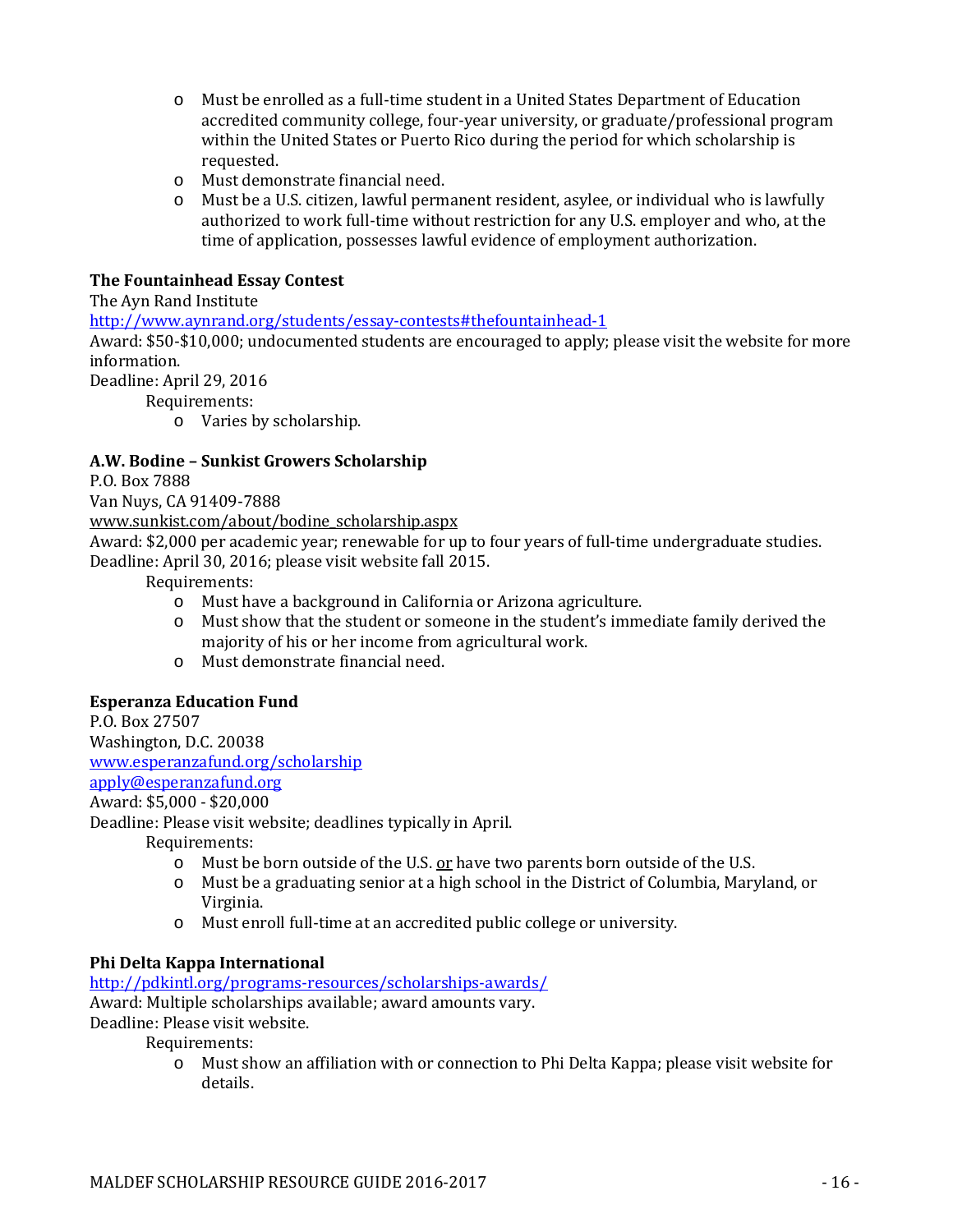- o Must be enrolled as a full-time student in a United States Department of Education accredited community college, four-year university, or graduate/professional program within the United States or Puerto Rico during the period for which scholarship is requested.
- o Must demonstrate financial need.
- o Must be a U.S. citizen, lawful permanent resident, asylee, or individual who is lawfully authorized to work full-time without restriction for any U.S. employer and who, at the time of application, possesses lawful evidence of employment authorization.

### **The Fountainhead Essay Contest**

#### The Ayn Rand Institute

<http://www.aynrand.org/students/essay-contests#thefountainhead-1>

Award: \$50-\$10,000; undocumented students are encouraged to apply; please visit the website for more information.

Deadline: April 29, 2016

Requirements:

o Varies by scholarship.

#### **A.W. Bodine – Sunkist Growers Scholarship**

P.O. Box 7888

Van Nuys, CA 91409-7888

[www.sunkist.com/about/bodine\\_scholarship.aspx](http://www.sunkist.com/about/bodine_scholarship.aspx)

Award: \$2,000 per academic year; renewable for up to four years of full-time undergraduate studies. Deadline: April 30, 2016; please visit website fall 2015.

Requirements:

- o Must have a background in California or Arizona agriculture.
- Must show that the student or someone in the student's immediate family derived the majority of his or her income from agricultural work.
- o Must demonstrate financial need.

# **Esperanza Education Fund**

P.O. Box 27507 Washington, D.C. 20038 [www.esperanzafund.org/scholarship](http://www.esperanzafund.org/scholarship) [apply@esperanzafund.org](mailto:apply@esperanzafund.org) Award: \$5,000 - \$20,000

Deadline: Please visit website; deadlines typically in April.

Requirements:

- o Must be born outside of the U.S. or have two parents born outside of the U.S.
- o Must be a graduating senior at a high school in the District of Columbia, Maryland, or Virginia.
- o Must enroll full-time at an accredited public college or university.

# **Phi Delta Kappa International**

<http://pdkintl.org/programs-resources/scholarships-awards/>

Award: Multiple scholarships available; award amounts vary.

Deadline: Please visit website.

Requirements:

o Must show an affiliation with or connection to Phi Delta Kappa; please visit website for details.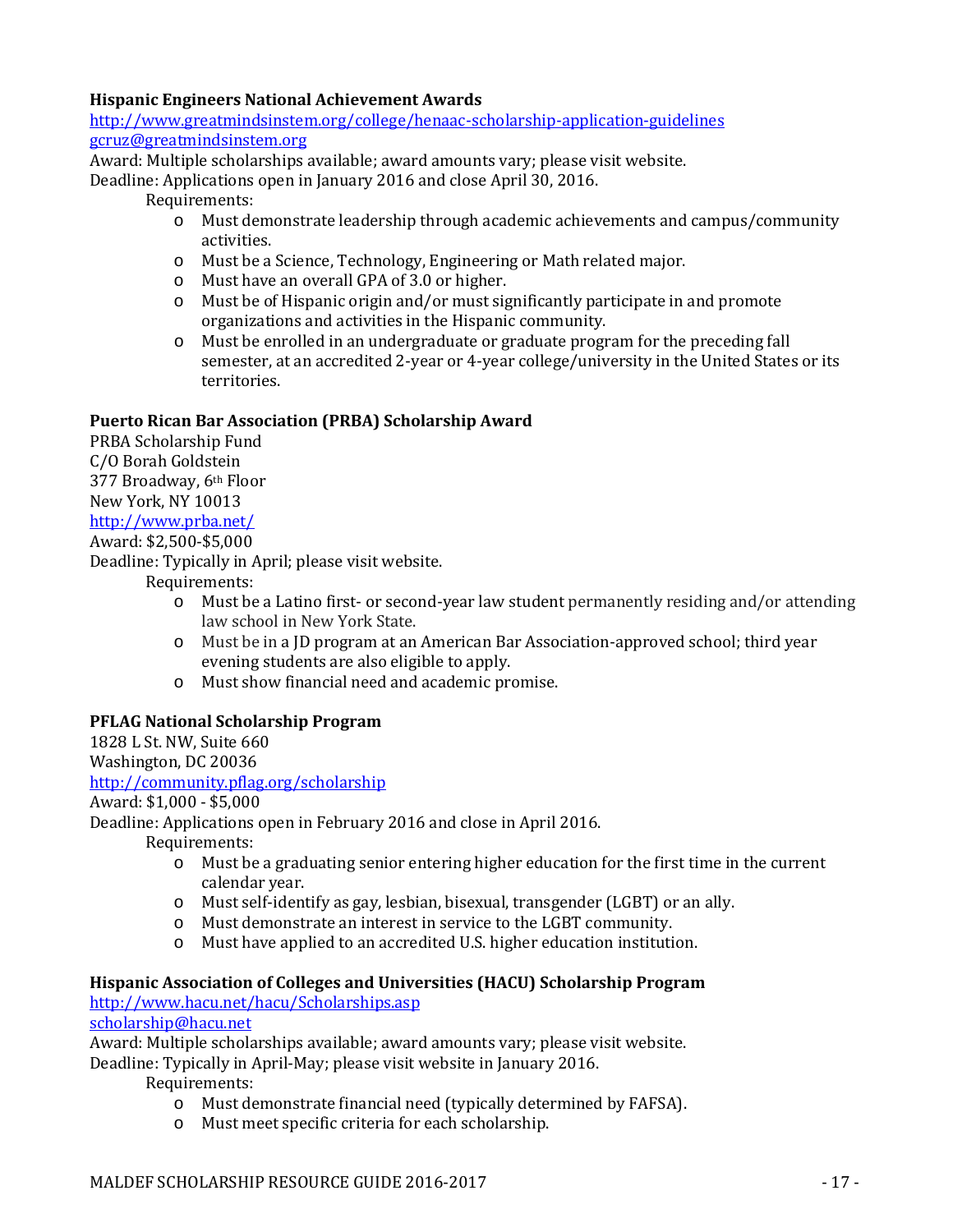### **Hispanic Engineers National Achievement Awards**

<http://www.greatmindsinstem.org/college/henaac-scholarship-application-guidelines> [gcruz@greatmindsinstem.org](mailto:gcruz@greatmindsinstem.org)

Award: Multiple scholarships available; award amounts vary; please visit website.

Deadline: Applications open in January 2016 and close April 30, 2016.

#### Requirements:

- o Must demonstrate leadership through academic achievements and campus/community activities.
- o Must be a Science, Technology, Engineering or Math related major.
- o Must have an overall GPA of 3.0 or higher.
- o Must be of Hispanic origin and/or must significantly participate in and promote organizations and activities in the Hispanic community.
- o Must be enrolled in an undergraduate or graduate program for the preceding fall semester, at an accredited 2-year or 4-year college/university in the United States or its territories.

# **Puerto Rican Bar Association (PRBA) Scholarship Award**

PRBA Scholarship Fund C/O Borah Goldstein 377 Broadway, 6th Floor New York, NY 10013 <http://www.prba.net/> Award: \$2,500-\$5,000

Deadline: Typically in April; please visit website.

Requirements:

- o Must be a Latino first- or second-year law student permanently residing and/or attending law school in New York State.
- o Must be in a JD program at an American Bar Association-approved school; third year evening students are also eligible to apply.
- o Must show financial need and academic promise.

# **PFLAG National Scholarship Program**

1828 L St. NW, Suite 660 Washington, DC 20036

<http://community.pflag.org/scholarship>

Award: \$1,000 - \$5,000

Deadline: Applications open in February 2016 and close in April 2016.

Requirements:

- o Must be a graduating senior entering higher education for the first time in the current calendar year.
- o Must self-identify as gay, lesbian, bisexual, transgender (LGBT) or an ally.
- o Must demonstrate an interest in service to the LGBT community.
- o Must have applied to an accredited U.S. higher education institution.

# **Hispanic Association of Colleges and Universities (HACU) Scholarship Program**

<http://www.hacu.net/hacu/Scholarships.asp>

# [scholarship@hacu.net](mailto:scholarship@hacu.net)

Award: Multiple scholarships available; award amounts vary; please visit website.

Deadline: Typically in April-May; please visit website in January 2016.

- o Must demonstrate financial need (typically determined by FAFSA).
- o Must meet specific criteria for each scholarship.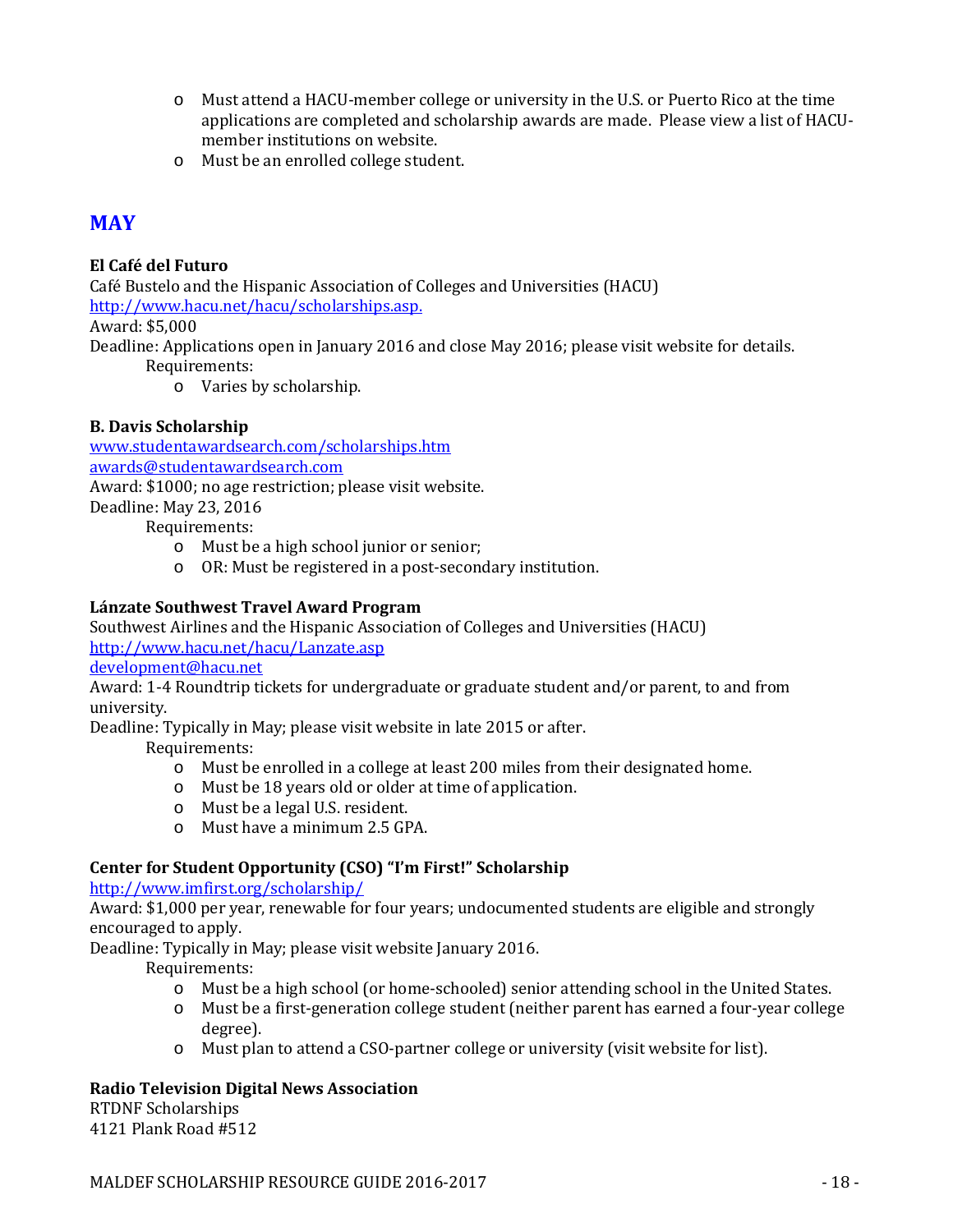- o Must attend a HACU-member college or university in the U.S. or Puerto Rico at the time applications are completed and scholarship awards are made. Please view a list of HACUmember institutions on website.
- o Must be an enrolled college student.

# **MAY**

# **El Café del Futuro**

Café Bustelo and the Hispanic Association of Colleges and Universities (HACU) [http://www.hacu.net/hacu/scholarships.asp.](http://www.hacu.net/hacu/scholarships.asp) Award: \$5,000 Deadline: Applications open in January 2016 and close May 2016; please visit website for details.

Requirements:

o Varies by scholarship.

# **B. Davis Scholarship**

[www.studentawardsearch.com/scholarships.htm](http://www.studentawardsearch.com/scholarships.htm) [awards@studentawardsearch.com](mailto:awards@studentawardsearch.com)

Award: \$1000; no age restriction; please visit website.

Deadline: May 23, 2016

Requirements:

- o Must be a high school junior or senior;
- o OR: Must be registered in a post-secondary institution.

# **Lánzate Southwest Travel Award Program**

Southwest Airlines and the Hispanic Association of Colleges and Universities (HACU) <http://www.hacu.net/hacu/Lanzate.asp>

[development@hacu.net](mailto:development@hacu.net)

Award: 1-4 Roundtrip tickets for undergraduate or graduate student and/or parent, to and from university.

Deadline: Typically in May; please visit website in late 2015 or after.

Requirements:

- o Must be enrolled in a college at least 200 miles from their designated home.
- o Must be 18 years old or older at time of application.
- o Must be a legal U.S. resident.
- o Must have a minimum 2.5 GPA.

# **Center for Student Opportunity (CSO) "I'm First!" Scholarship**

<http://www.imfirst.org/scholarship/>

Award: \$1,000 per year, renewable for four years; undocumented students are eligible and strongly encouraged to apply.

Deadline: Typically in May; please visit website January 2016.

Requirements:

- o Must be a high school (or home-schooled) senior attending school in the United States.
- o Must be a first-generation college student (neither parent has earned a four-year college degree).
- o Must plan to attend a CSO-partner college or university (visit website for list).

# **Radio Television Digital News Association**

RTDNF Scholarships 4121 Plank Road #512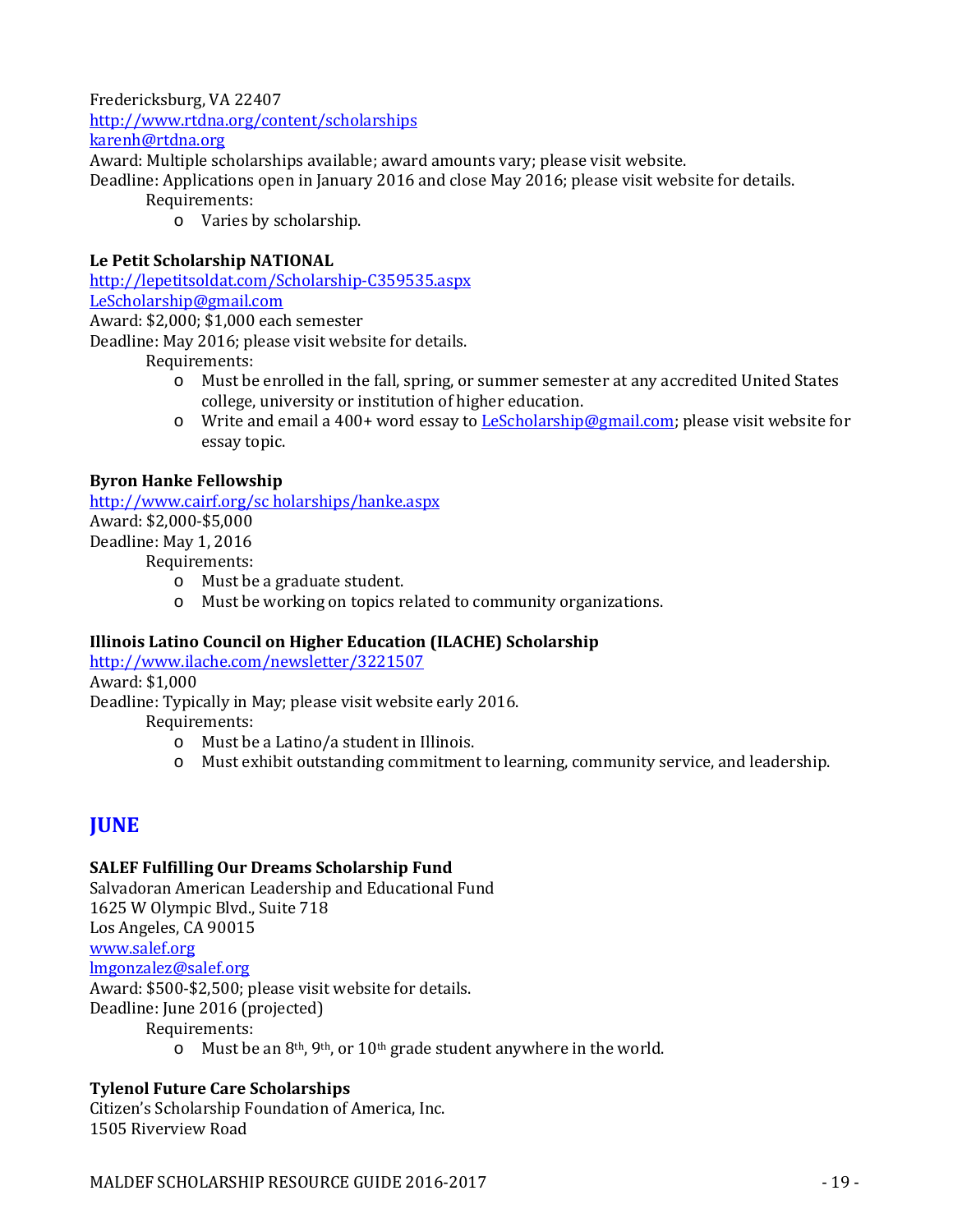Fredericksburg, VA 22407 <http://www.rtdna.org/content/scholarships> [karenh@rtdna.org](mailto:karenh@rtdna.org)

Award: Multiple scholarships available; award amounts vary; please visit website.

Deadline: Applications open in January 2016 and close May 2016; please visit website for details.

Requirements:

o Varies by scholarship.

# **Le Petit Scholarship NATIONAL**

<http://lepetitsoldat.com/Scholarship-C359535.aspx> [LeScholarship@gmail.com](mailto:LeScholarship@gmail.com)

Award: \$2,000; \$1,000 each semester

Deadline: May 2016; please visit website for details.

Requirements:

- o Must be enrolled in the fall, spring, or summer semester at any accredited United States college, university or institution of higher education.
- o Write and email a 400+ word essay t[o LeScholarship@gmail.com;](mailto:LeScholarship@gmail.com) please visit website for essay topic.

# **Byron Hanke Fellowship**

[http://www.cairf.org/sc holarships/hanke.aspx](http://www.cairf.org/sc%20holarships/hanke.aspx) Award: \$2,000-\$5,000 Deadline: May 1, 2016

Requirements:

- o Must be a graduate student.
- o Must be working on topics related to community organizations.

# **Illinois Latino Council on Higher Education (ILACHE) Scholarship**

<http://www.ilache.com/newsletter/3221507>

Award: \$1,000

Deadline: Typically in May; please visit website early 2016.

Requirements:

- o Must be a Latino/a student in Illinois.
- o Must exhibit outstanding commitment to learning, community service, and leadership.

# **JUNE**

# **SALEF Fulfilling Our Dreams Scholarship Fund**

Salvadoran American Leadership and Educational Fund 1625 W Olympic Blvd., Suite 718 Los Angeles, CA 90015 [www.salef.org](http://www.salef.org/) [lmgonzalez@salef.org](mailto:lmgonzalez@salef.org) Award: \$500-\$2,500; please visit website for details. Deadline: June 2016 (projected) Requirements:

o Must be an 8th, 9th, or 10th grade student anywhere in the world.

# **Tylenol Future Care Scholarships**

Citizen's Scholarship Foundation of America, Inc. 1505 Riverview Road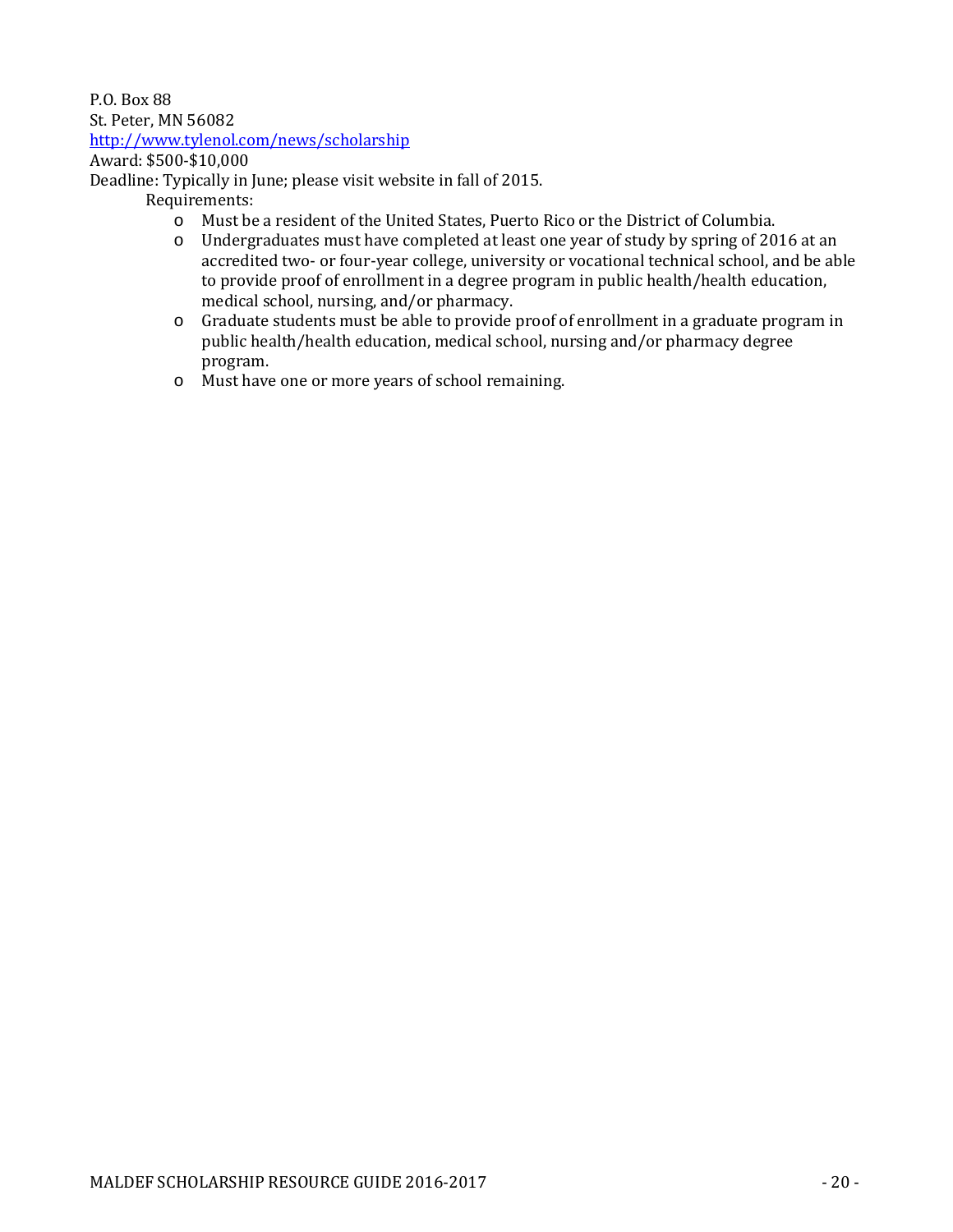#### P.O. Box 88 St. Peter, MN 56082 <http://www.tylenol.com/news/scholarship>

# Award: \$500-\$10,000

Deadline: Typically in June; please visit website in fall of 2015.

- o Must be a resident of the United States, Puerto Rico or the District of Columbia.
- o Undergraduates must have completed at least one year of study by spring of 2016 at an accredited two- or four-year college, university or vocational technical school, and be able to provide proof of enrollment in a degree program in public health/health education, medical school, nursing, and/or pharmacy.
- o Graduate students must be able to provide proof of enrollment in a graduate program in public health/health education, medical school, nursing and/or pharmacy degree program.
- o Must have one or more years of school remaining.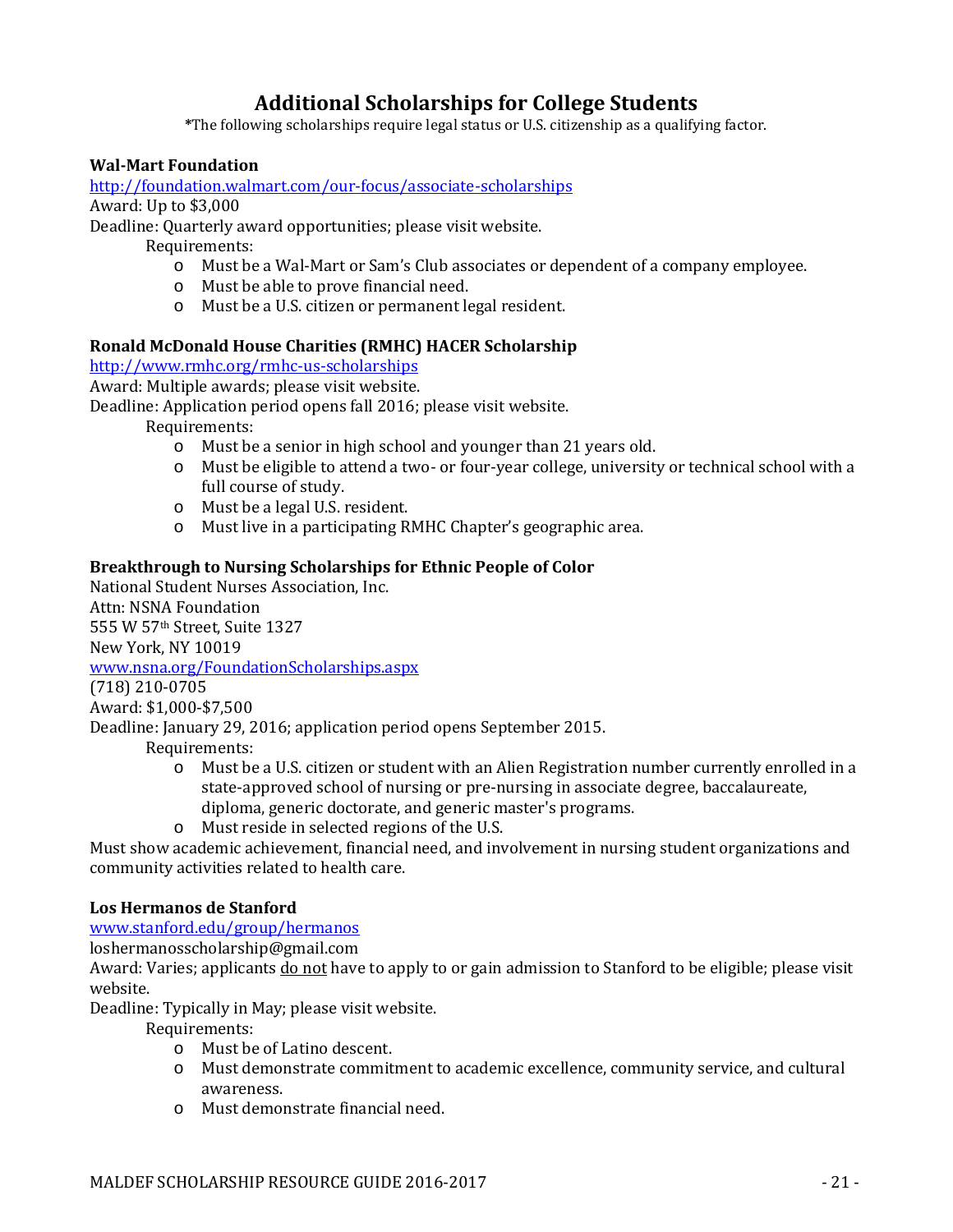# **Additional Scholarships for College Students**

**\***The following scholarships require legal status or U.S. citizenship as a qualifying factor.

# **Wal-Mart Foundation**

<http://foundation.walmart.com/our-focus/associate-scholarships>

Award: Up to \$3,000

Deadline: Quarterly award opportunities; please visit website.

Requirements:

- o Must be a Wal-Mart or Sam's Club associates or dependent of a company employee.
- o Must be able to prove financial need.
- o Must be a U.S. citizen or permanent legal resident.

# **Ronald McDonald House Charities (RMHC) HACER Scholarship**

<http://www.rmhc.org/rmhc-us-scholarships>

Award: Multiple awards; please visit website.

Deadline: Application period opens fall 2016; please visit website.

Requirements:

- o Must be a senior in high school and younger than 21 years old.
- o Must be eligible to attend a two- or four-year college, university or technical school with a full course of study.
- o Must be a legal U.S. resident.
- o Must live in a participating RMHC Chapter's geographic area.

# **Breakthrough to Nursing Scholarships for Ethnic People of Color**

National Student Nurses Association, Inc. Attn: NSNA Foundation

555 W 57th Street, Suite 1327

New York, NY 10019

[www.nsna.org/FoundationScholarships.aspx](http://www.nsna.org/FoundationScholarships.aspx)

(718) 210-0705

Award: \$1,000-\$7,500

Deadline: January 29, 2016; application period opens September 2015.

Requirements:

- o Must be a U.S. citizen or student with an Alien Registration number currently enrolled in a state-approved school of nursing or pre-nursing in associate degree, baccalaureate, diploma, generic doctorate, and generic master's programs.
- o Must reside in selected regions of the U.S.

Must show academic achievement, financial need, and involvement in nursing student organizations and community activities related to health care.

# **Los Hermanos de Stanford**

[www.stanford.edu/group/hermanos](http://www.stanford.edu/group/hermanos)

loshermanosscholarship@gmail.com

Award: Varies; applicants do not have to apply to or gain admission to Stanford to be eligible; please visit website.

Deadline: Typically in May; please visit website.

- o Must be of Latino descent.
- o Must demonstrate commitment to academic excellence, community service, and cultural awareness.
- o Must demonstrate financial need.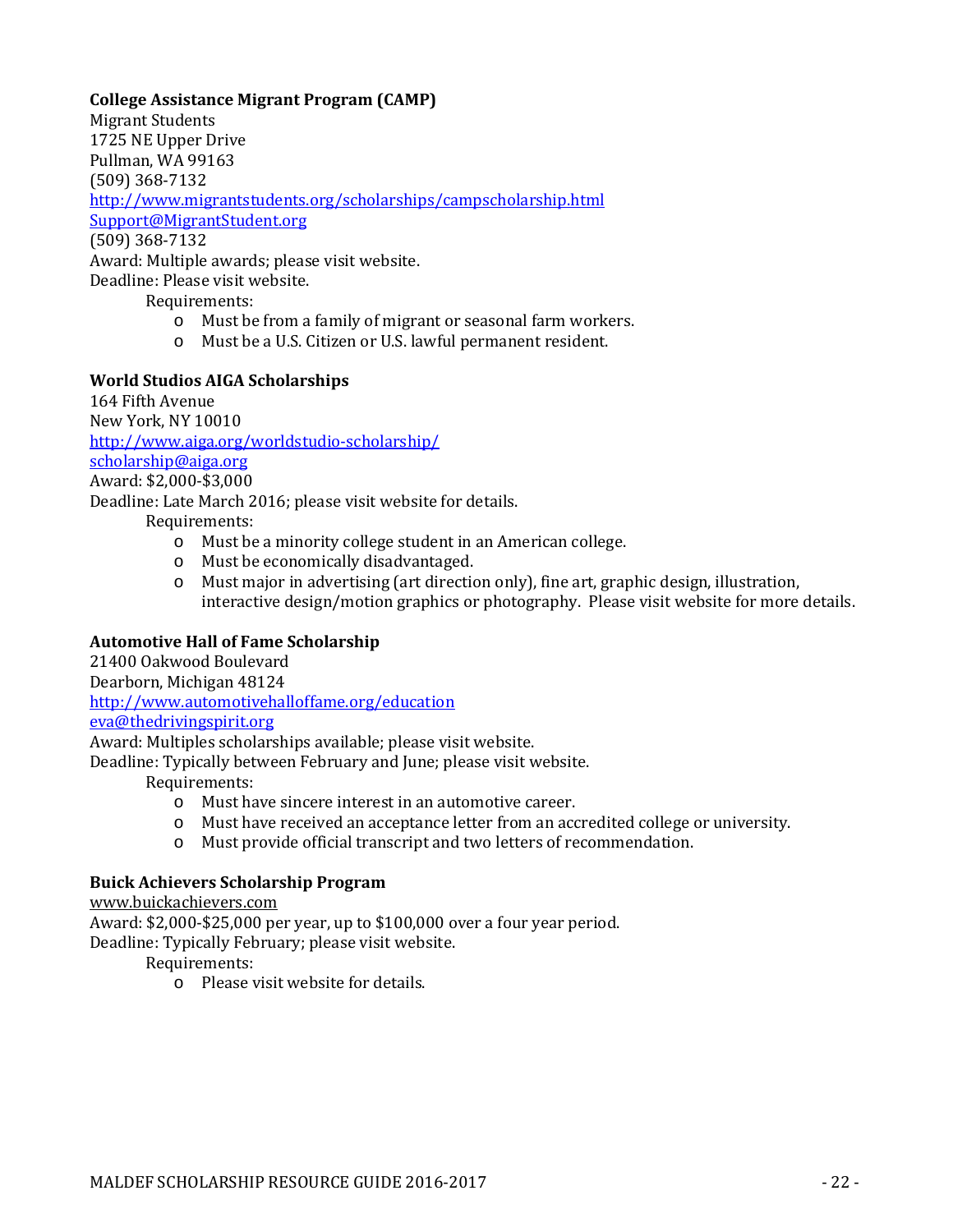### **College Assistance Migrant Program (CAMP)**

Migrant Students 1725 NE Upper Drive Pullman, WA 99163 (509) 368-7132 <http://www.migrantstudents.org/scholarships/campscholarship.html> [Support@MigrantStudent.org](mailto:Support@MigrantStudent.org) (509) 368-7132 Award: Multiple awards; please visit website. Deadline: Please visit website.

Requirements:

- o Must be from a family of migrant or seasonal farm workers.
- o Must be a U.S. Citizen or U.S. lawful permanent resident.

#### **World Studios AIGA Scholarships**

164 Fifth Avenue New York, NY 10010 <http://www.aiga.org/worldstudio-scholarship/> [scholarship@aiga.org](mailto:scholarship@aiga.org) Award: \$2,000-\$3,000 Deadline: Late March 2016; please visit website for details. Requirements: o Must be a minority college student in an American college.

- o Must be economically disadvantaged.
- o Must major in advertising (art direction only), fine art, graphic design, illustration, interactive design/motion graphics or photography. Please visit website for more details.

#### **Automotive Hall of Fame Scholarship**

21400 Oakwood Boulevard

Dearborn, Michigan 48124

<http://www.automotivehalloffame.org/education>

[eva@thedrivingspirit.org](mailto:eva@thedrivingspirit.org)

Award: Multiples scholarships available; please visit website.

Deadline: Typically between February and June; please visit website.

Requirements:

- o Must have sincere interest in an automotive career.
- o Must have received an acceptance letter from an accredited college or university.
- o Must provide official transcript and two letters of recommendation.

# **Buick Achievers Scholarship Program**

[www.buickachievers.com](http://www.buickachievers.com/)

Award: \$2,000-\$25,000 per year, up to \$100,000 over a four year period.

Deadline: Typically February; please visit website.

Requirements:

o Please visit website for details.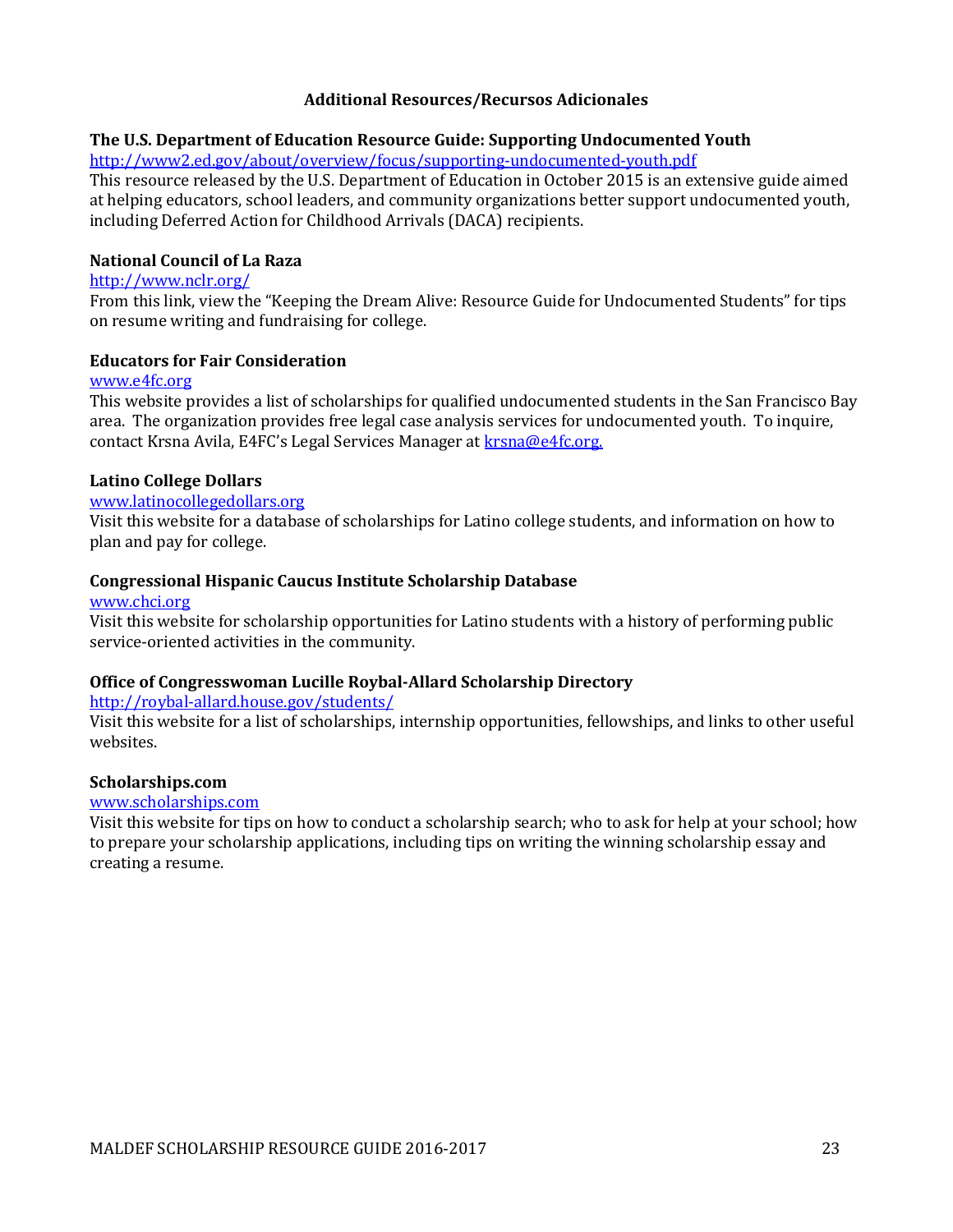#### **Additional Resources/Recursos Adicionales**

#### **The U.S. Department of Education Resource Guide: Supporting Undocumented Youth**

<http://www2.ed.gov/about/overview/focus/supporting-undocumented-youth.pdf>

This resource released by the U.S. Department of Education in October 2015 is an extensive guide aimed at helping educators, school leaders, and community organizations better support undocumented youth, including Deferred Action for Childhood Arrivals (DACA) recipients.

#### **National Council of La Raza**

#### <http://www.nclr.org/>

From this link, view the "Keeping the Dream Alive: Resource Guide for Undocumented Students" for tips on resume writing and fundraising for college.

#### **Educators for Fair Consideration**

#### [www.e4fc.org](http://www.e4fc.org/)

This website provides a list of scholarships for qualified undocumented students in the San Francisco Bay area. The organization provides free legal case analysis services for undocumented youth. To inquire, contact Krsna Avila, E4FC's Legal Services Manager at [krsna@e4fc.org.](mailto:krsna@e4fc.org)

#### **Latino College Dollars**

#### [www.latinocollegedollars.org](http://www.latinocollegedollars.org/)

Visit this website for a database of scholarships for Latino college students, and information on how to plan and pay for college.

#### **Congressional Hispanic Caucus Institute Scholarship Database**

#### [www.chci.org](http://www.chci.org/)

Visit this website for scholarship opportunities for Latino students with a history of performing public service-oriented activities in the community.

# **Office of Congresswoman Lucille Roybal-Allard Scholarship Directory**

#### <http://roybal-allard.house.gov/students/>

Visit this website for a list of scholarships, internship opportunities, fellowships, and links to other useful websites.

#### **Scholarships.com**

#### [www.scholarships.com](http://www.scholarships.com/)

Visit this website for tips on how to conduct a scholarship search; who to ask for help at your school; how to prepare your scholarship applications, including tips on writing the winning scholarship essay and creating a resume.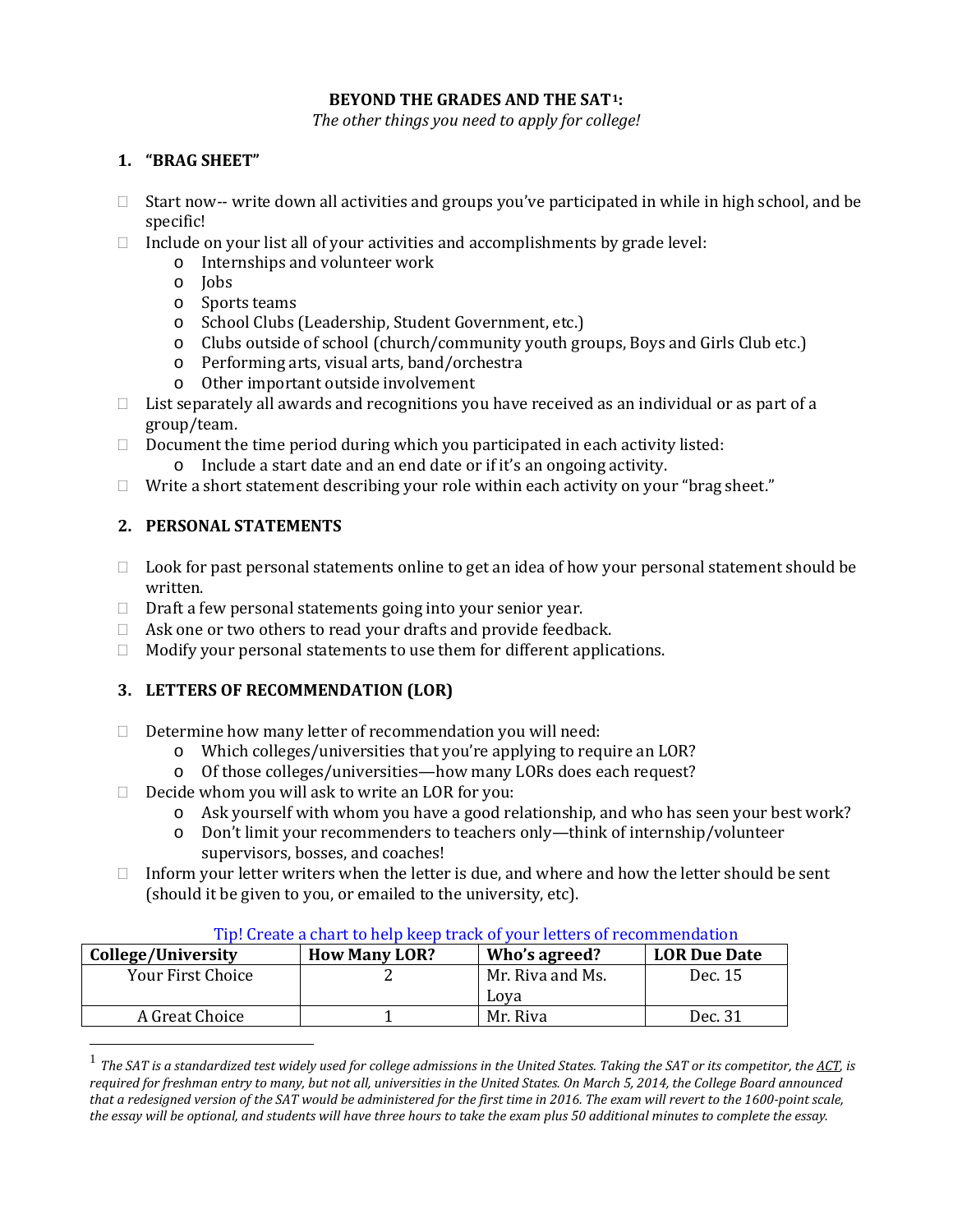### **BEYOND THE GRADES AND THE SAT[1](#page-24-0):**

*The other things you need to apply for college!*

# **1. "BRAG SHEET"**

- $\Box$  Start now-- write down all activities and groups you've participated in while in high school, and be specific!
- $\Box$  Include on your list all of your activities and accomplishments by grade level:
	- o Internships and volunteer work
	- o Jobs
	- o Sports teams
	- o School Clubs (Leadership, Student Government, etc.)
	- o Clubs outside of school (church/community youth groups, Boys and Girls Club etc.)
	- o Performing arts, visual arts, band/orchestra
	- o Other important outside involvement
- $\Box$  List separately all awards and recognitions you have received as an individual or as part of a group/team.
- $\Box$  Document the time period during which you participated in each activity listed:
	- o Include a start date and an end date or if it's an ongoing activity.
- $\Box$  Write a short statement describing your role within each activity on your "brag sheet."

# **2. PERSONAL STATEMENTS**

- $\Box$  Look for past personal statements online to get an idea of how your personal statement should be written.
- $\Box$  Draft a few personal statements going into your senior year.
- $\Box$  Ask one or two others to read your drafts and provide feedback.
- $\Box$  Modify your personal statements to use them for different applications.

# **3. LETTERS OF RECOMMENDATION (LOR)**

- $\Box$  Determine how many letter of recommendation you will need:
	- o Which colleges/universities that you're applying to require an LOR?
	- o Of those colleges/universities—how many LORs does each request?
- $\Box$  Decide whom you will ask to write an LOR for you:
	- o Ask yourself with whom you have a good relationship, and who has seen your best work?
	- o Don't limit your recommenders to teachers only—think of internship/volunteer supervisors, bosses, and coaches!
- $\Box$  Inform your letter writers when the letter is due, and where and how the letter should be sent (should it be given to you, or emailed to the university, etc).

| College/University | <b>How Many LOR?</b> | Who's agreed?    | <b>LOR Due Date</b> |
|--------------------|----------------------|------------------|---------------------|
| Your First Choice  |                      | Mr. Riva and Ms. | Dec. 15             |
|                    |                      | Lova             |                     |
| A Great Choice     |                      | Mr. Riva         | Dec. 31             |

# Tip! Create a chart to help keep track of your letters of recommendation

<span id="page-24-0"></span> <sup>1</sup> *The SAT is [a standardized test](https://en.wikipedia.org/wiki/Standardized_test) widely used fo[r college admissions](https://en.wikipedia.org/wiki/College_admissions_in_the_United_States) in th[e United States.](https://en.wikipedia.org/wiki/Education_in_the_United_States) Taking the SAT or its competitor, th[e ACT,](https://en.wikipedia.org/wiki/ACT_(test)) is required for freshman entry to many, but not all, universities in the United States. On March 5, 2014, the College Board announced that a redesigned version of the SAT would be administered for the first time in 2016. The exam will revert to the 1600-point scale, the essay will be optional, and students will have three hours to take the exam plus 50 additional minutes to complete the essay.*